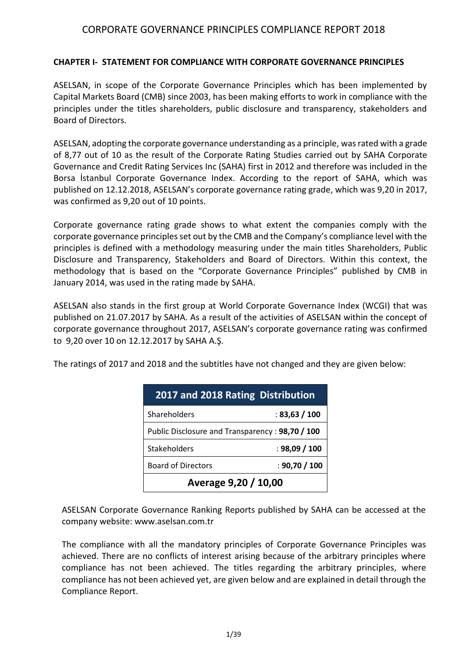#### **CHAPTER I- STATEMENT FOR COMPLIANCE WITH CORPORATE GOVERNANCE PRINCIPLES**

ASELSAN, in scope of the Corporate Governance Principles which has been implemented by Capital Markets Board (CMB) since 2003, has been making efforts to work in compliance with the principles under the titles shareholders, public disclosure and transparency, stakeholders and Board of Directors.

ASELSAN, adopting the corporate governance understanding as a principle, was rated with a grade of 8,77 out of 10 as the result of the Corporate Rating Studies carried out by SAHA Corporate Governance and Credit Rating Services Inc (SAHA) first in 2012 and therefore was included in the Borsa İstanbul Corporate Governance Index. According to the report of SAHA, which was published on 12.12.2018, ASELSAN's corporate governance rating grade, which was 9,20 in 2017, was confirmed as 9,20 out of 10 points.

Corporate governance rating grade shows to what extent the companies comply with the corporate governance principles set out by the CMB and the Company's compliance level with the principles is defined with a methodology measuring under the main titles Shareholders, Public Disclosure and Transparency, Stakeholders and Board of Directors. Within this context, the methodology that is based on the "Corporate Governance Principles" published by CMB in January 2014, was used in the rating made by SAHA.

ASELSAN also stands in the first group at World Corporate Governance Index (WCGI) that was published on 21.07.2017 by SAHA. As a result of the activities of ASELSAN within the concept of corporate governance throughout 2017, ASELSAN's corporate governance rating was confirmed to 9,20 over 10 on 12.12.2017 by SAHA A.Ş.

The ratings of 2017 and 2018 and the subtitles have not changed and they are given below:

| 2017 and 2018 Rating Distribution               |               |  |  |  |  |
|-------------------------------------------------|---------------|--|--|--|--|
| Shareholders                                    | : 83,63 / 100 |  |  |  |  |
| Public Disclosure and Transparency: 98,70 / 100 |               |  |  |  |  |
| <b>Stakeholders</b>                             | : 98,09 / 100 |  |  |  |  |
| <b>Board of Directors</b>                       | : 90,70 / 100 |  |  |  |  |
| Average 9,20 / 10,00                            |               |  |  |  |  |

ASELSAN Corporate Governance Ranking Reports published by SAHA can be accessed at the company website[: www.aselsan.com.](http://www.aselsan.com/)tr

The compliance with all the mandatory principles of Corporate Governance Principles was achieved. There are no conflicts of interest arising because of the arbitrary principles where compliance has not been achieved. The titles regarding the arbitrary principles, where compliance has not been achieved yet, are given below and are explained in detail through the Compliance Report.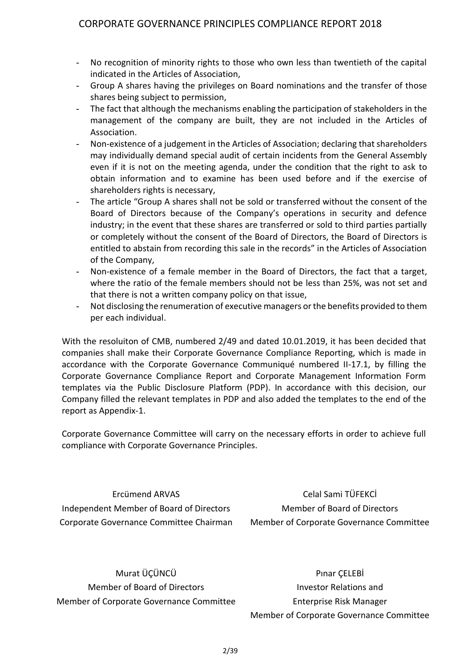- No recognition of minority rights to those who own less than twentieth of the capital indicated in the Articles of Association,
- Group A shares having the privileges on Board nominations and the transfer of those shares being subject to permission,
- The fact that although the mechanisms enabling the participation of stakeholders in the management of the company are built, they are not included in the Articles of Association.
- Non-existence of a judgement in the Articles of Association; declaring that shareholders may individually demand special audit of certain incidents from the General Assembly even if it is not on the meeting agenda, under the condition that the right to ask to obtain information and to examine has been used before and if the exercise of shareholders rights is necessary,
- The article "Group A shares shall not be sold or transferred without the consent of the Board of Directors because of the Company's operations in security and defence industry; in the event that these shares are transferred or sold to third parties partially or completely without the consent of the Board of Directors, the Board of Directors is entitled to abstain from recording this sale in the records" in the Articles of Association of the Company,
- Non-existence of a female member in the Board of Directors, the fact that a target, where the ratio of the female members should not be less than 25%, was not set and that there is not a written company policy on that issue,
- Not disclosing the renumeration of executive managers or the benefits provided to them per each individual.

With the resoluiton of CMB, numbered 2/49 and dated 10.01.2019, it has been decided that companies shall make their Corporate Governance Compliance Reporting, which is made in accordance with the Corporate Governance Communiqué numbered II-17.1, by filling the Corporate Governance Compliance Report and Corporate Management Information Form templates via the Public Disclosure Platform (PDP). In accordance with this decision, our Company filled the relevant templates in PDP and also added the templates to the end of the report as Appendix-1.

Corporate Governance Committee will carry on the necessary efforts in order to achieve full compliance with Corporate Governance Principles.

Ercümend ARVAS Independent Member of Board of Directors Corporate Governance Committee Chairman

Celal Sami TÜFEKCİ Member of Board of Directors Member of Corporate Governance Committee

Murat ÜÇÜNCÜ Member of Board of Directors Member of Corporate Governance Committee

Pınar ÇELEBİ Investor Relations and Enterprise Risk Manager Member of Corporate Governance Committee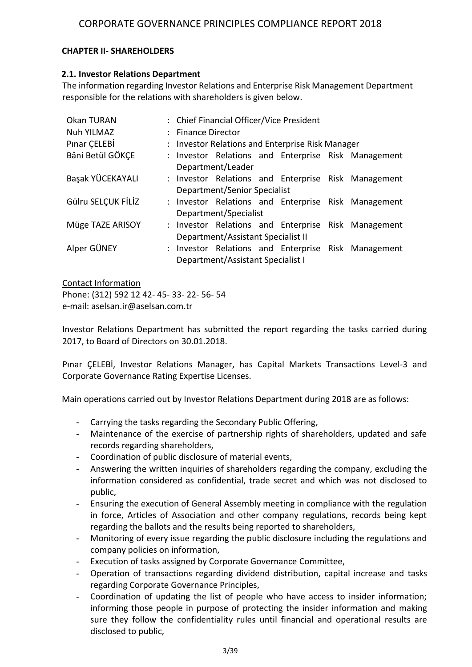#### **CHAPTER II- SHAREHOLDERS**

#### **2.1. Investor Relations Department**

The information regarding Investor Relations and Enterprise Risk Management Department responsible for the relations with shareholders is given below.

| Okan TURAN         | : Chief Financial Officer/Vice President         |                                    |  |  |  |                                                     |  |  |  |  |
|--------------------|--------------------------------------------------|------------------------------------|--|--|--|-----------------------------------------------------|--|--|--|--|
| <b>Nuh YILMAZ</b>  | : Finance Director                               |                                    |  |  |  |                                                     |  |  |  |  |
| Pinar CELEBI       | : Investor Relations and Enterprise Risk Manager |                                    |  |  |  |                                                     |  |  |  |  |
| Bâni Betül GÖKÇE   |                                                  |                                    |  |  |  | : Investor Relations and Enterprise Risk Management |  |  |  |  |
|                    |                                                  | Department/Leader                  |  |  |  |                                                     |  |  |  |  |
| Başak YÜCEKAYALI   |                                                  |                                    |  |  |  | : Investor Relations and Enterprise Risk Management |  |  |  |  |
|                    |                                                  | Department/Senior Specialist       |  |  |  |                                                     |  |  |  |  |
| Gülru SELÇUK FİLİZ |                                                  |                                    |  |  |  | : Investor Relations and Enterprise Risk Management |  |  |  |  |
|                    |                                                  | Department/Specialist              |  |  |  |                                                     |  |  |  |  |
| Müge TAZE ARISOY   |                                                  |                                    |  |  |  | : Investor Relations and Enterprise Risk Management |  |  |  |  |
|                    |                                                  | Department/Assistant Specialist II |  |  |  |                                                     |  |  |  |  |
| Alper GÜNEY        |                                                  |                                    |  |  |  | : Investor Relations and Enterprise Risk Management |  |  |  |  |
|                    |                                                  | Department/Assistant Specialist I  |  |  |  |                                                     |  |  |  |  |

Contact Information

Phone: (312) 592 12 42- 45- 33- 22- 56- 54 e-mail: aselsan.ir@aselsan.com.tr

Corporate Governance Rating Expertise Licenses.

Investor Relations Department has submitted the report regarding the tasks carried during

2017, to Board of Directors on 30.01.2018. Pınar ÇELEBİ, Investor Relations Manager, has Capital Markets Transactions Level-3 and

Main operations carried out by Investor Relations Department during 2018 are as follows:

- Carrying the tasks regarding the Secondary Public Offering,
- Maintenance of the exercise of partnership rights of shareholders, updated and safe records regarding shareholders,
- Coordination of public disclosure of material events,
- Answering the written inquiries of shareholders regarding the company, excluding the information considered as confidential, trade secret and which was not disclosed to public,
- Ensuring the execution of General Assembly meeting in compliance with the regulation in force, Articles of Association and other company regulations, records being kept regarding the ballots and the results being reported to shareholders,
- Monitoring of every issue regarding the public disclosure including the regulations and company policies on information,
- Execution of tasks assigned by Corporate Governance Committee,
- Operation of transactions regarding dividend distribution, capital increase and tasks regarding Corporate Governance Principles,
- Coordination of updating the list of people who have access to insider information; informing those people in purpose of protecting the insider information and making sure they follow the confidentiality rules until financial and operational results are disclosed to public,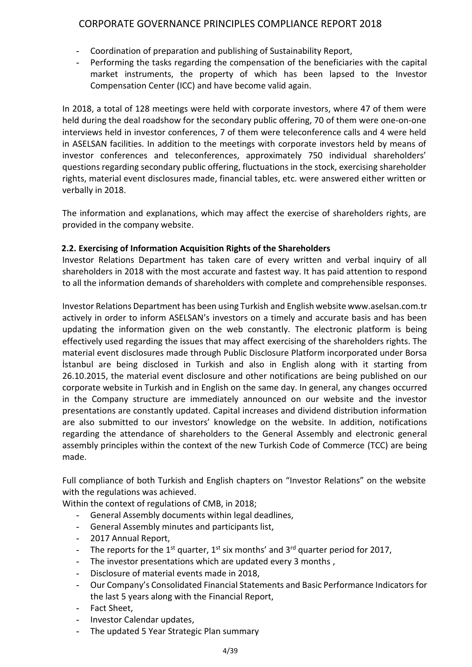- Coordination of preparation and publishing of Sustainability Report,
- Performing the tasks regarding the compensation of the beneficiaries with the capital market instruments, the property of which has been lapsed to the Investor Compensation Center (ICC) and have become valid again.

In 2018, a total of 128 meetings were held with corporate investors, where 47 of them were held during the deal roadshow for the secondary public offering, 70 of them were one-on-one interviews held in investor conferences, 7 of them were teleconference calls and 4 were held in ASELSAN facilities. In addition to the meetings with corporate investors held by means of investor conferences and teleconferences, approximately 750 individual shareholders' questions regarding secondary public offering, fluctuations in the stock, exercising shareholder rights, material event disclosures made, financial tables, etc. were answered either written or verbally in 2018.

The information and explanations, which may affect the exercise of shareholders rights, are provided in the company website.

### **2.2. Exercising of Information Acquisition Rights of the Shareholders**

Investor Relations Department has taken care of every written and verbal inquiry of all shareholders in 2018 with the most accurate and fastest way. It has paid attention to respond to all the information demands of shareholders with complete and comprehensible responses.

Investor Relations Department has been using Turkish and English website www.aselsan.com.tr actively in order to inform ASELSAN's investors on a timely and accurate basis and has been updating the information given on the web constantly. The electronic platform is being effectively used regarding the issues that may affect exercising of the shareholders rights. The material event disclosures made through Public Disclosure Platform incorporated under Borsa İstanbul are being disclosed in Turkish and also in English along with it starting from 26.10.2015, the material event disclosure and other notifications are being published on our corporate website in Turkish and in English on the same day. In general, any changes occurred in the Company structure are immediately announced on our website and the investor presentations are constantly updated. Capital increases and dividend distribution information are also submitted to our investors' knowledge on the website. In addition, notifications regarding the attendance of shareholders to the General Assembly and electronic general assembly principles within the context of the new Turkish Code of Commerce (TCC) are being made.

Full compliance of both Turkish and English chapters on "Investor Relations" on the website with the regulations was achieved.

Within the context of regulations of CMB, in 2018;

- General Assembly documents within legal deadlines,
- General Assembly minutes and participants list,
- 2017 Annual Report,
- The reports for the 1<sup>st</sup> quarter, 1<sup>st</sup> six months' and 3<sup>rd</sup> quarter period for 2017,
- The investor presentations which are updated every 3 months,
- Disclosure of material events made in 2018,
- Our Company's Consolidated Financial Statements and Basic Performance Indicators for the last 5 years along with the Financial Report,
- Fact Sheet,
- Investor Calendar updates,
- The updated 5 Year Strategic Plan summary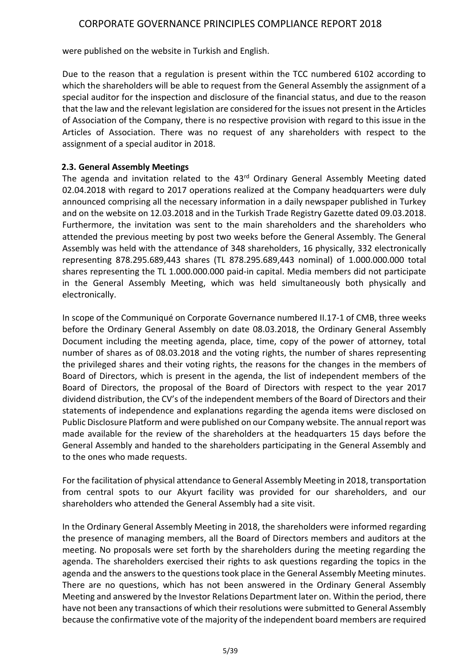were published on the website in Turkish and English.

Due to the reason that a regulation is present within the TCC numbered 6102 according to which the shareholders will be able to request from the General Assembly the assignment of a special auditor for the inspection and disclosure of the financial status, and due to the reason that the law and the relevant legislation are considered for the issues not present in the Articles of Association of the Company, there is no respective provision with regard to this issue in the Articles of Association. There was no request of any shareholders with respect to the assignment of a special auditor in 2018.

#### **2.3. General Assembly Meetings**

The agenda and invitation related to the 43<sup>rd</sup> Ordinary General Assembly Meeting dated 02.04.2018 with regard to 2017 operations realized at the Company headquarters were duly announced comprising all the necessary information in a daily newspaper published in Turkey and on the website on 12.03.2018 and in the Turkish Trade Registry Gazette dated 09.03.2018. Furthermore, the invitation was sent to the main shareholders and the shareholders who attended the previous meeting by post two weeks before the General Assembly. The General Assembly was held with the attendance of 348 shareholders, 16 physically, 332 electronically representing 878.295.689,443 shares (TL 878.295.689,443 nominal) of 1.000.000.000 total shares representing the TL 1.000.000.000 paid-in capital. Media members did not participate in the General Assembly Meeting, which was held simultaneously both physically and electronically.

In scope of the Communiqué on Corporate Governance numbered II.17-1 of CMB, three weeks before the Ordinary General Assembly on date 08.03.2018, the Ordinary General Assembly Document including the meeting agenda, place, time, copy of the power of attorney, total number of shares as of 08.03.2018 and the voting rights, the number of shares representing the privileged shares and their voting rights, the reasons for the changes in the members of Board of Directors, which is present in the agenda, the list of independent members of the Board of Directors, the proposal of the Board of Directors with respect to the year 2017 dividend distribution, the CV's of the independent members of the Board of Directors and their statements of independence and explanations regarding the agenda items were disclosed on Public Disclosure Platform and were published on our Company website. The annual report was made available for the review of the shareholders at the headquarters 15 days before the General Assembly and handed to the shareholders participating in the General Assembly and to the ones who made requests.

For the facilitation of physical attendance to General Assembly Meeting in 2018, transportation from central spots to our Akyurt facility was provided for our shareholders, and our shareholders who attended the General Assembly had a site visit.

In the Ordinary General Assembly Meeting in 2018, the shareholders were informed regarding the presence of managing members, all the Board of Directors members and auditors at the meeting. No proposals were set forth by the shareholders during the meeting regarding the agenda. The shareholders exercised their rights to ask questions regarding the topics in the agenda and the answers to the questions took place in the General Assembly Meeting minutes. There are no questions, which has not been answered in the Ordinary General Assembly Meeting and answered by the Investor Relations Department later on. Within the period, there have not been any transactions of which their resolutions were submitted to General Assembly because the confirmative vote of the majority of the independent board members are required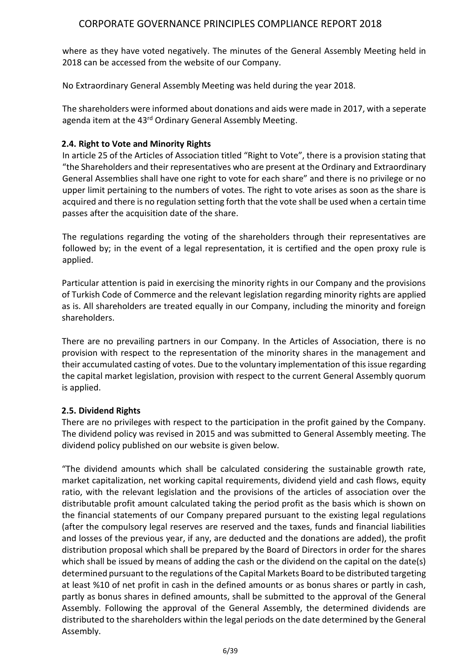where as they have voted negatively. The minutes of the General Assembly Meeting held in 2018 can be accessed from the website of our Company.

No Extraordinary General Assembly Meeting was held during the year 2018.

The shareholders were informed about donations and aids were made in 2017, with a seperate agenda item at the 43<sup>rd</sup> Ordinary General Assembly Meeting.

### **2.4. Right to Vote and Minority Rights**

In article 25 of the Articles of Association titled "Right to Vote", there is a provision stating that "the Shareholders and their representatives who are present at the Ordinary and Extraordinary General Assemblies shall have one right to vote for each share" and there is no privilege or no upper limit pertaining to the numbers of votes. The right to vote arises as soon as the share is acquired and there is no regulation setting forth that the vote shall be used when a certain time passes after the acquisition date of the share.

The regulations regarding the voting of the shareholders through their representatives are followed by; in the event of a legal representation, it is certified and the open proxy rule is applied.

Particular attention is paid in exercising the minority rights in our Company and the provisions of Turkish Code of Commerce and the relevant legislation regarding minority rights are applied as is. All shareholders are treated equally in our Company, including the minority and foreign shareholders.

There are no prevailing partners in our Company. In the Articles of Association, there is no provision with respect to the representation of the minority shares in the management and their accumulated casting of votes. Due to the voluntary implementation of this issue regarding the capital market legislation, provision with respect to the current General Assembly quorum is applied.

## **2.5. Dividend Rights**

There are no privileges with respect to the participation in the profit gained by the Company. The dividend policy was revised in 2015 and was submitted to General Assembly meeting. The dividend policy published on our website is given below.

"The dividend amounts which shall be calculated considering the sustainable growth rate, market capitalization, net working capital requirements, dividend yield and cash flows, equity ratio, with the relevant legislation and the provisions of the articles of association over the distributable profit amount calculated taking the period profit as the basis which is shown on the financial statements of our Company prepared pursuant to the existing legal regulations (after the compulsory legal reserves are reserved and the taxes, funds and financial liabilities and losses of the previous year, if any, are deducted and the donations are added), the profit distribution proposal which shall be prepared by the Board of Directors in order for the shares which shall be issued by means of adding the cash or the dividend on the capital on the date(s) determined pursuant to the regulations of the Capital Markets Board to be distributed targeting at least %10 of net profit in cash in the defined amounts or as bonus shares or partly in cash, partly as bonus shares in defined amounts, shall be submitted to the approval of the General Assembly. Following the approval of the General Assembly, the determined dividends are distributed to the shareholders within the legal periods on the date determined by the General Assembly.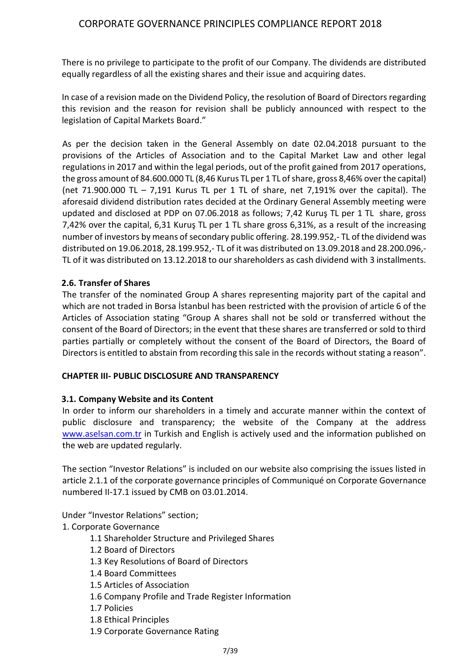There is no privilege to participate to the profit of our Company. The dividends are distributed equally regardless of all the existing shares and their issue and acquiring dates.

In case of a revision made on the Dividend Policy, the resolution of Board of Directors regarding this revision and the reason for revision shall be publicly announced with respect to the legislation of Capital Markets Board."

As per the decision taken in the General Assembly on date 02.04.2018 pursuant to the provisions of the Articles of Association and to the Capital Market Law and other legal regulations in 2017 and within the legal periods, out of the profit gained from 2017 operations, the gross amount of 84.600.000 TL (8,46 Kurus TL per 1 TL of share, gross 8,46% over the capital) (net  $71.900.000$  TL  $-7.191$  Kurus TL per 1 TL of share, net  $7.191%$  over the capital). The aforesaid dividend distribution rates decided at the Ordinary General Assembly meeting were updated and disclosed at PDP on 07.06.2018 as follows; 7,42 Kuruş TL per 1 TL share, gross 7,42% over the capital, 6,31 Kuruş TL per 1 TL share gross 6,31%, as a result of the increasing number of investors by means of secondary public offering. 28.199.952,- TL of the dividend was distributed on 19.06.2018, 28.199.952,- TL of it was distributed on 13.09.2018 and 28.200.096,- TL of it was distributed on 13.12.2018 to our shareholders as cash dividend with 3 installments.

### **2.6. Transfer of Shares**

The transfer of the nominated Group A shares representing majority part of the capital and which are not traded in Borsa İstanbul has been restricted with the provision of article 6 of the Articles of Association stating "Group A shares shall not be sold or transferred without the consent of the Board of Directors; in the event that these shares are transferred or sold to third parties partially or completely without the consent of the Board of Directors, the Board of Directors is entitled to abstain from recording this sale in the records without stating a reason".

#### **CHAPTER III- PUBLIC DISCLOSURE AND TRANSPARENCY**

#### **3.1. Company Website and its Content**

In order to inform our shareholders in a timely and accurate manner within the context of public disclosure and transparency; the website of the Company at the address [www.aselsan.com.tr](http://www.aselsan.com.tr/) in Turkish and English is actively used and the information published on the web are updated regularly.

The section "Investor Relations" is included on our website also comprising the issues listed in article 2.1.1 of the corporate governance principles of Communiqué on Corporate Governance numbered II-17.1 issued by CMB on 03.01.2014.

Under "Investor Relations" section;

1. Corporate Governance

- 1.1 Shareholder Structure and Privileged Shares
- 1.2 Board of Directors
- 1.3 Key Resolutions of Board of Directors
- 1.4 Board Committees
- 1.5 Articles of Association
- 1.6 Company Profile and Trade Register Information
- 1.7 Policies
- 1.8 Ethical Principles
- 1.9 Corporate Governance Rating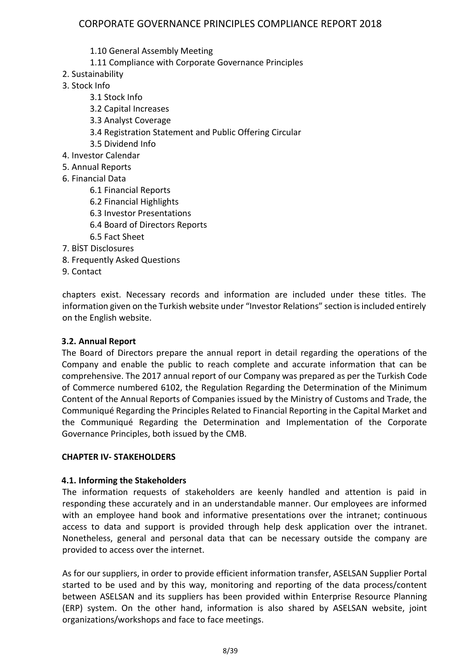- 1.10 General Assembly Meeting
- 1.11 Compliance with Corporate Governance Principles
- 2. Sustainability
- 3. Stock Info
	- 3.1 Stock Info
	- 3.2 Capital Increases
	- 3.3 Analyst Coverage
	- 3.4 Registration Statement and Public Offering Circular
	- 3.5 Dividend Info
- 4. Investor Calendar
- 5. Annual Reports
- 6. Financial Data
	- 6.1 Financial Reports
	- 6.2 Financial Highlights
	- 6.3 Investor Presentations
	- 6.4 Board of Directors Reports
	- 6.5 Fact Sheet
- 7. BİST Disclosures
- 8. Frequently Asked Questions
- 9. Contact

chapters exist. Necessary records and information are included under these titles. The information given on the Turkish website under "Investor Relations" section is included entirely on the English website.

#### **3.2. Annual Report**

The Board of Directors prepare the annual report in detail regarding the operations of the Company and enable the public to reach complete and accurate information that can be comprehensive. The 2017 annual report of our Company was prepared as per the Turkish Code of Commerce numbered 6102, the Regulation Regarding the Determination of the Minimum Content of the Annual Reports of Companies issued by the Ministry of Customs and Trade, the Communiqué Regarding the Principles Related to Financial Reporting in the Capital Market and the Communiqué Regarding the Determination and Implementation of the Corporate Governance Principles, both issued by the CMB.

#### **CHAPTER IV- STAKEHOLDERS**

#### **4.1. Informing the Stakeholders**

The information requests of stakeholders are keenly handled and attention is paid in responding these accurately and in an understandable manner. Our employees are informed with an employee hand book and informative presentations over the intranet; continuous access to data and support is provided through help desk application over the intranet. Nonetheless, general and personal data that can be necessary outside the company are provided to access over the internet.

As for our suppliers, in order to provide efficient information transfer, ASELSAN Supplier Portal started to be used and by this way, monitoring and reporting of the data process/content between ASELSAN and its suppliers has been provided within Enterprise Resource Planning (ERP) system. On the other hand, information is also shared by ASELSAN website, joint organizations/workshops and face to face meetings.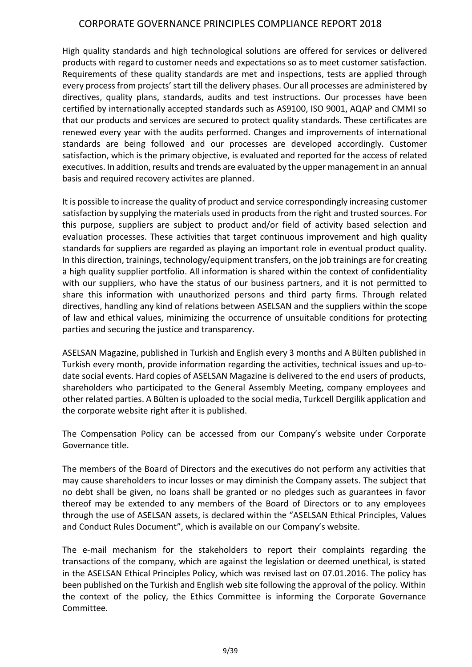High quality standards and high technological solutions are offered for services or delivered products with regard to customer needs and expectations so as to meet customer satisfaction. Requirements of these quality standards are met and inspections, tests are applied through every process from projects' start till the delivery phases. Our all processes are administered by directives, quality plans, standards, audits and test instructions. Our processes have been certified by internationally accepted standards such as AS9100, ISO 9001, AQAP and CMMI so that our products and services are secured to protect quality standards. These certificates are renewed every year with the audits performed. Changes and improvements of international standards are being followed and our processes are developed accordingly. Customer satisfaction, which is the primary objective, is evaluated and reported for the access of related executives. In addition, results and trends are evaluated by the upper management in an annual basis and required recovery activites are planned.

It is possible to increase the quality of product and service correspondingly increasing customer satisfaction by supplying the materials used in products from the right and trusted sources. For this purpose, suppliers are subject to product and/or field of activity based selection and evaluation processes. These activities that target continuous improvement and high quality standards for suppliers are regarded as playing an important role in eventual product quality. In this direction, trainings, technology/equipment transfers, on the job trainings are for creating a high quality supplier portfolio. All information is shared within the context of confidentiality with our suppliers, who have the status of our business partners, and it is not permitted to share this information with unauthorized persons and third party firms. Through related directives, handling any kind of relations between ASELSAN and the suppliers within the scope of law and ethical values, minimizing the occurrence of unsuitable conditions for protecting parties and securing the justice and transparency.

ASELSAN Magazine, published in Turkish and English every 3 months and A Bülten published in Turkish every month, provide information regarding the activities, technical issues and up-todate social events. Hard copies of ASELSAN Magazine is delivered to the end users of products, shareholders who participated to the General Assembly Meeting, company employees and other related parties. A Bülten is uploaded to the social media, Turkcell Dergilik application and the corporate website right after it is published.

The Compensation Policy can be accessed from our Company's website under Corporate Governance title.

The members of the Board of Directors and the executives do not perform any activities that may cause shareholders to incur losses or may diminish the Company assets. The subject that no debt shall be given, no loans shall be granted or no pledges such as guarantees in favor thereof may be extended to any members of the Board of Directors or to any employees through the use of ASELSAN assets, is declared within the "ASELSAN Ethical Principles, Values and Conduct Rules Document", which is available on our Company's website.

The e-mail mechanism for the stakeholders to report their complaints regarding the transactions of the company, which are against the legislation or deemed unethical, is stated in the ASELSAN Ethical Principles Policy, which was revised last on 07.01.2016. The policy has been published on the Turkish and English web site following the approval of the policy. Within the context of the policy, the Ethics Committee is informing the Corporate Governance Committee.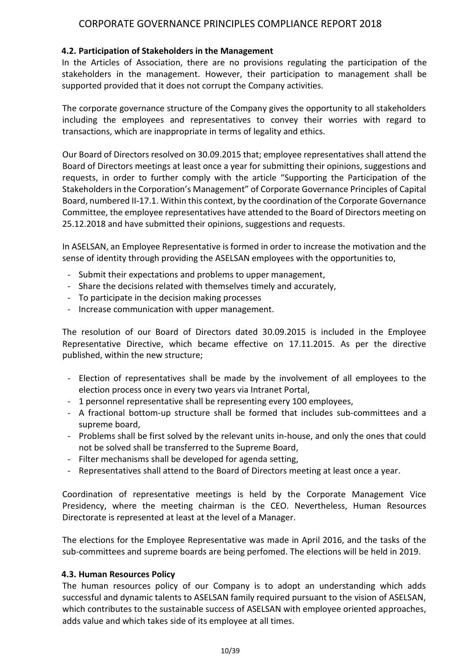#### **4.2. Participation of Stakeholders in the Management**

In the Articles of Association, there are no provisions regulating the participation of the stakeholders in the management. However, their participation to management shall be supported provided that it does not corrupt the Company activities.

The corporate governance structure of the Company gives the opportunity to all stakeholders including the employees and representatives to convey their worries with regard to transactions, which are inappropriate in terms of legality and ethics.

Our Board of Directors resolved on 30.09.2015 that; employee representatives shall attend the Board of Directors meetings at least once a year for submitting their opinions, suggestions and requests, in order to further comply with the article "Supporting the Participation of the Stakeholders in the Corporation's Management" of Corporate Governance Principles of Capital Board, numbered II-17.1. Within this context, by the coordination of the Corporate Governance Committee, the employee representatives have attended to the Board of Directors meeting on 25.12.2018 and have submitted their opinions, suggestions and requests.

In ASELSAN, an Employee Representative is formed in order to increase the motivation and the sense of identity through providing the ASELSAN employees with the opportunities to,

- Submit their expectations and problems to upper management,
- Share the decisions related with themselves timely and accurately,
- To participate in the decision making processes
- Increase communication with upper management.

The resolution of our Board of Directors dated 30.09.2015 is included in the Employee Representative Directive, which became effective on 17.11.2015. As per the directive published, within the new structure;

- Election of representatives shall be made by the involvement of all employees to the election process once in every two years via Intranet Portal,
- 1 personnel representative shall be representing every 100 employees,
- A fractional bottom-up structure shall be formed that includes sub-committees and a supreme board,
- Problems shall be first solved by the relevant units in-house, and only the ones that could not be solved shall be transferred to the Supreme Board,
- Filter mechanisms shall be developed for agenda setting,
- Representatives shall attend to the Board of Directors meeting at least once a year.

Coordination of representative meetings is held by the Corporate Management Vice Presidency, where the meeting chairman is the CEO. Nevertheless, Human Resources Directorate is represented at least at the level of a Manager.

The elections for the Employee Representative was made in April 2016, and the tasks of the sub-committees and supreme boards are being perfomed. The elections will be held in 2019.

#### **4.3. Human Resources Policy**

The human resources policy of our Company is to adopt an understanding which adds successful and dynamic talents to ASELSAN family required pursuant to the vision of ASELSAN, which contributes to the sustainable success of ASELSAN with employee oriented approaches, adds value and which takes side of its employee at all times.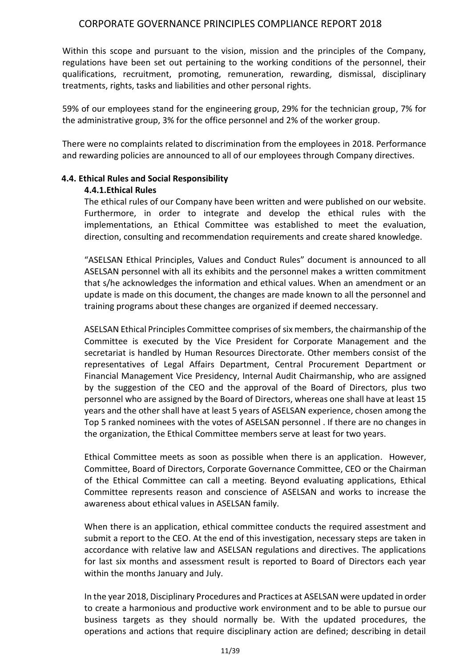Within this scope and pursuant to the vision, mission and the principles of the Company, regulations have been set out pertaining to the working conditions of the personnel, their qualifications, recruitment, promoting, remuneration, rewarding, dismissal, disciplinary treatments, rights, tasks and liabilities and other personal rights.

59% of our employees stand for the engineering group, 29% for the technician group, 7% for the administrative group, 3% for the office personnel and 2% of the worker group.

There were no complaints related to discrimination from the employees in 2018. Performance and rewarding policies are announced to all of our employees through Company directives.

#### **4.4. Ethical Rules and Social Responsibility**

#### **4.4.1.Ethical Rules**

The ethical rules of our Company have been written and were published on our website. Furthermore, in order to integrate and develop the ethical rules with the implementations, an Ethical Committee was established to meet the evaluation, direction, consulting and recommendation requirements and create shared knowledge.

"ASELSAN Ethical Principles, Values and Conduct Rules" document is announced to all ASELSAN personnel with all its exhibits and the personnel makes a written commitment that s/he acknowledges the information and ethical values. When an amendment or an update is made on this document, the changes are made known to all the personnel and training programs about these changes are organized if deemed neccessary.

ASELSAN Ethical Principles Committee comprises of six members, the chairmanship of the Committee is executed by the Vice President for Corporate Management and the secretariat is handled by Human Resources Directorate. Other members consist of the representatives of Legal Affairs Department, Central Procurement Department or Financial Management Vice Presidency, Internal Audit Chairmanship, who are assigned by the suggestion of the CEO and the approval of the Board of Directors, plus two personnel who are assigned by the Board of Directors, whereas one shall have at least 15 years and the other shall have at least 5 years of ASELSAN experience, chosen among the Top 5 ranked nominees with the votes of ASELSAN personnel . If there are no changes in the organization, the Ethical Committee members serve at least for two years.

Ethical Committee meets as soon as possible when there is an application. However, Committee, Board of Directors, Corporate Governance Committee, CEO or the Chairman of the Ethical Committee can call a meeting. Beyond evaluating applications, Ethical Committee represents reason and conscience of ASELSAN and works to increase the awareness about ethical values in ASELSAN family.

When there is an application, ethical committee conducts the required assestment and submit a report to the CEO. At the end of this investigation, necessary steps are taken in accordance with relative law and ASELSAN regulations and directives. The applications for last six months and assessment result is reported to Board of Directors each year within the months January and July.

In the year 2018, Disciplinary Procedures and Practices at ASELSAN were updated in order to create a harmonious and productive work environment and to be able to pursue our business targets as they should normally be. With the updated procedures, the operations and actions that require disciplinary action are defined; describing in detail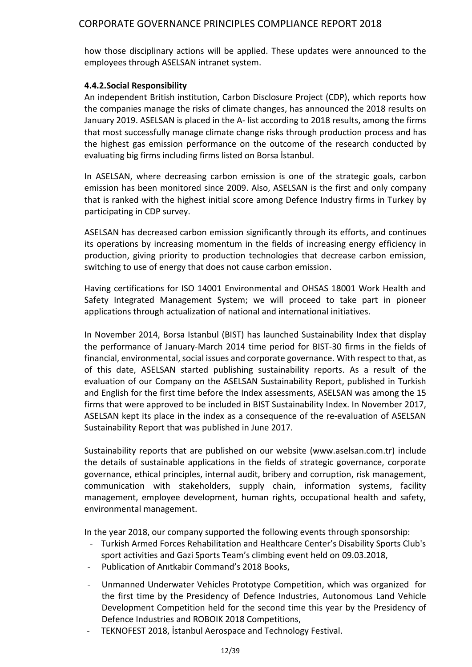how those disciplinary actions will be applied. These updates were announced to the employees through ASELSAN intranet system.

#### **4.4.2.Social Responsibility**

An independent British institution, Carbon Disclosure Project (CDP), which reports how the companies manage the risks of climate changes, has announced the 2018 results on January 2019. ASELSAN is placed in the A- list according to 2018 results, among the firms that most successfully manage climate change risks through production process and has the highest gas emission performance on the outcome of the research conducted by evaluating big firms including firms listed on Borsa İstanbul.

In ASELSAN, where decreasing carbon emission is one of the strategic goals, carbon emission has been monitored since 2009. Also, ASELSAN is the first and only company that is ranked with the highest initial score among Defence Industry firms in Turkey by participating in CDP survey.

ASELSAN has decreased carbon emission significantly through its efforts, and continues its operations by increasing momentum in the fields of increasing energy efficiency in production, giving priority to production technologies that decrease carbon emission, switching to use of energy that does not cause carbon emission.

Having certifications for ISO 14001 Environmental and OHSAS 18001 Work Health and Safety Integrated Management System; we will proceed to take part in pioneer applications through actualization of national and international initiatives.

In November 2014, Borsa Istanbul (BIST) has launched Sustainability Index that display the performance of January-March 2014 time period for BIST-30 firms in the fields of financial, environmental, social issues and corporate governance. With respect to that, as of this date, ASELSAN started publishing sustainability reports. As a result of the evaluation of our Company on the ASELSAN Sustainability Report, published in Turkish and English for the first time before the Index assessments, ASELSAN was among the 15 firms that were approved to be included in BIST Sustainability Index. In November 2017, ASELSAN kept its place in the index as a consequence of the re-evaluation of ASELSAN Sustainability Report that was published in June 2017.

Sustainability reports that are published on our website (www.aselsan.com.tr) include the details of sustainable applications in the fields of strategic governance, corporate governance, ethical principles, internal audit, bribery and corruption, risk management, communication with stakeholders, supply chain, information systems, facility management, employee development, human rights, occupational health and safety, environmental management.

In the year 2018, our company supported the following events through sponsorship:

- Turkish Armed Forces Rehabilitation and Healthcare Center's Disability Sports Club's sport activities and Gazi Sports Team's climbing event held on 09.03.2018,
- Publication of Anıtkabir Command's 2018 Books,
- Unmanned Underwater Vehicles Prototype Competition, which was organized for the first time by the Presidency of Defence Industries, Autonomous Land Vehicle Development Competition held for the second time this year by the Presidency of Defence Industries and ROBOIK 2018 Competitions,
- TEKNOFEST 2018, Istanbul Aerospace and Technology Festival.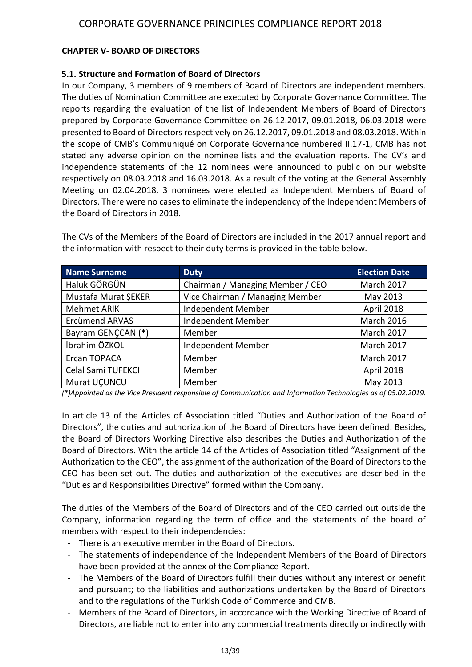## **CHAPTER V- BOARD OF DIRECTORS**

#### **5.1. Structure and Formation of Board of Directors**

In our Company, 3 members of 9 members of Board of Directors are independent members. The duties of Nomination Committee are executed by Corporate Governance Committee. The reports regarding the evaluation of the list of Independent Members of Board of Directors prepared by Corporate Governance Committee on 26.12.2017, 09.01.2018, 06.03.2018 were presented to Board of Directors respectively on 26.12.2017, 09.01.2018 and 08.03.2018. Within the scope of CMB's Communiqué on Corporate Governance numbered II.17-1, CMB has not stated any adverse opinion on the nominee lists and the evaluation reports. The CV's and independence statements of the 12 nominees were announced to public on our website respectively on 08.03.2018 and 16.03.2018. As a result of the voting at the General Assembly Meeting on 02.04.2018, 3 nominees were elected as Independent Members of Board of Directors. There were no cases to eliminate the independency of the Independent Members of the Board of Directors in 2018.

| <b>Name Surname</b>   | <b>Duty</b>                      | <b>Election Date</b> |
|-----------------------|----------------------------------|----------------------|
| Haluk GÖRGÜN          | Chairman / Managing Member / CEO | <b>March 2017</b>    |
| Mustafa Murat ŞEKER   | Vice Chairman / Managing Member  | May 2013             |
| <b>Mehmet ARIK</b>    | Independent Member               | April 2018           |
| <b>Ercümend ARVAS</b> | Independent Member               | <b>March 2016</b>    |
| Bayram GENCCAN (*)    | Member                           | March 2017           |
| İbrahim ÖZKOL         | Independent Member               | March 2017           |
| Ercan TOPACA          | Member                           | March 2017           |
| Celal Sami TÜFEKCİ    | Member                           | April 2018           |
| Murat ÜÇÜNCÜ          | Member                           | May 2013             |

The CVs of the Members of the Board of Directors are included in the 2017 annual report and the information with respect to their duty terms is provided in the table below.

*(\*)Appointed as the Vice President responsible of Communication and Information Technologies as of 05.02.2019.*

In article 13 of the Articles of Association titled "Duties and Authorization of the Board of Directors", the duties and authorization of the Board of Directors have been defined. Besides, the Board of Directors Working Directive also describes the Duties and Authorization of the Board of Directors. With the article 14 of the Articles of Association titled "Assignment of the Authorization to the CEO", the assignment of the authorization of the Board of Directors to the CEO has been set out. The duties and authorization of the executives are described in the "Duties and Responsibilities Directive" formed within the Company.

The duties of the Members of the Board of Directors and of the CEO carried out outside the Company, information regarding the term of office and the statements of the board of members with respect to their independencies:

- There is an executive member in the Board of Directors.
- The statements of independence of the Independent Members of the Board of Directors have been provided at the annex of the Compliance Report.
- The Members of the Board of Directors fulfill their duties without any interest or benefit and pursuant; to the liabilities and authorizations undertaken by the Board of Directors and to the regulations of the Turkish Code of Commerce and CMB.
- Members of the Board of Directors, in accordance with the Working Directive of Board of Directors, are liable not to enter into any commercial treatments directly or indirectly with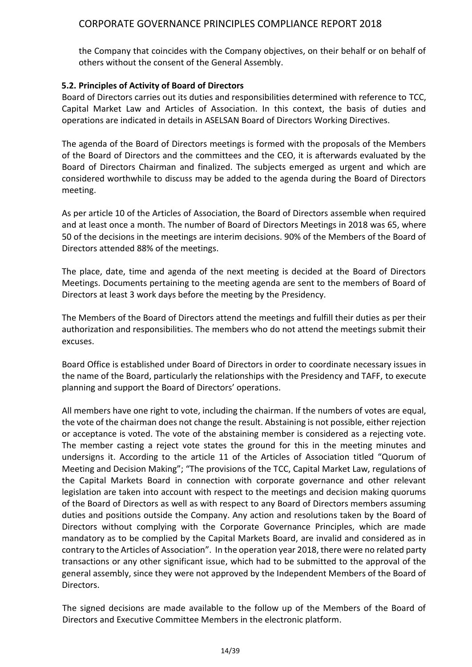the Company that coincides with the Company objectives, on their behalf or on behalf of others without the consent of the General Assembly.

#### **5.2. Principles of Activity of Board of Directors**

Board of Directors carries out its duties and responsibilities determined with reference to TCC, Capital Market Law and Articles of Association. In this context, the basis of duties and operations are indicated in details in ASELSAN Board of Directors Working Directives.

The agenda of the Board of Directors meetings is formed with the proposals of the Members of the Board of Directors and the committees and the CEO, it is afterwards evaluated by the Board of Directors Chairman and finalized. The subjects emerged as urgent and which are considered worthwhile to discuss may be added to the agenda during the Board of Directors meeting.

As per article 10 of the Articles of Association, the Board of Directors assemble when required and at least once a month. The number of Board of Directors Meetings in 2018 was 65, where 50 of the decisions in the meetings are interim decisions. 90% of the Members of the Board of Directors attended 88% of the meetings.

The place, date, time and agenda of the next meeting is decided at the Board of Directors Meetings. Documents pertaining to the meeting agenda are sent to the members of Board of Directors at least 3 work days before the meeting by the Presidency.

The Members of the Board of Directors attend the meetings and fulfill their duties as per their authorization and responsibilities. The members who do not attend the meetings submit their excuses.

Board Office is established under Board of Directors in order to coordinate necessary issues in the name of the Board, particularly the relationships with the Presidency and TAFF, to execute planning and support the Board of Directors' operations.

All members have one right to vote, including the chairman. If the numbers of votes are equal, the vote of the chairman does not change the result. Abstaining is not possible, either rejection or acceptance is voted. The vote of the abstaining member is considered as a rejecting vote. The member casting a reject vote states the ground for this in the meeting minutes and undersigns it. According to the article 11 of the Articles of Association titled "Quorum of Meeting and Decision Making"; "The provisions of the TCC, Capital Market Law, regulations of the Capital Markets Board in connection with corporate governance and other relevant legislation are taken into account with respect to the meetings and decision making quorums of the Board of Directors as well as with respect to any Board of Directors members assuming duties and positions outside the Company. Any action and resolutions taken by the Board of Directors without complying with the Corporate Governance Principles, which are made mandatory as to be complied by the Capital Markets Board, are invalid and considered as in contrary to the Articles of Association". In the operation year 2018, there were no related party transactions or any other significant issue, which had to be submitted to the approval of the general assembly, since they were not approved by the Independent Members of the Board of Directors.

The signed decisions are made available to the follow up of the Members of the Board of Directors and Executive Committee Members in the electronic platform.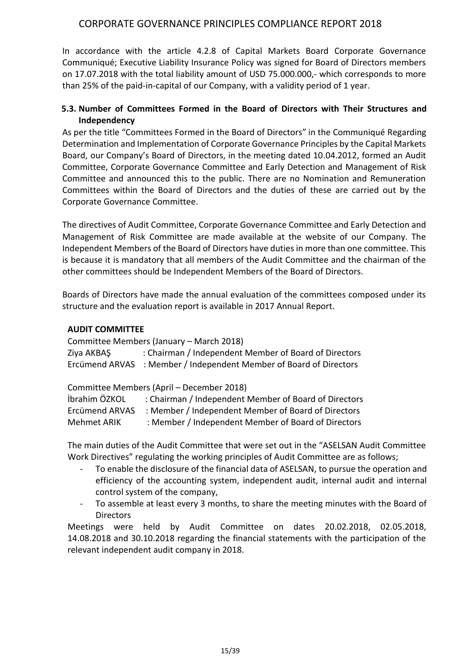In accordance with the article 4.2.8 of Capital Markets Board Corporate Governance Communiqué; Executive Liability Insurance Policy was signed for Board of Directors members on 17.07.2018 with the total liability amount of USD 75.000.000,- which corresponds to more than 25% of the paid-in-capital of our Company, with a validity period of 1 year.

#### **5.3. Number of Committees Formed in the Board of Directors with Their Structures and Independency**

As per the title "Committees Formed in the Board of Directors" in the Communiqué Regarding Determination and Implementation of Corporate Governance Principles by the Capital Markets Board, our Company's Board of Directors, in the meeting dated 10.04.2012, formed an Audit Committee, Corporate Governance Committee and Early Detection and Management of Risk Committee and announced this to the public. There are no Nomination and Remuneration Committees within the Board of Directors and the duties of these are carried out by the Corporate Governance Committee.

The directives of Audit Committee, Corporate Governance Committee and Early Detection and Management of Risk Committee are made available at the website of our Company. The Independent Members of the Board of Directors have duties in more than one committee. This is because it is mandatory that all members of the Audit Committee and the chairman of the other committees should be Independent Members of the Board of Directors.

Boards of Directors have made the annual evaluation of the committees composed under its structure and the evaluation report is available in 2017 Annual Report.

#### **AUDIT COMMITTEE**

Committee Members (January – March 2018) Ziya AKBAŞ : Chairman / Independent Member of Board of Directors Ercümend ARVAS : Member / Independent Member of Board of Directors

Committee Members (April – December 2018)

| İbrahim ÖZKOL  | : Chairman / Independent Member of Board of Directors |
|----------------|-------------------------------------------------------|
| Ercümend ARVAS | : Member / Independent Member of Board of Directors   |
| Mehmet ARIK    | : Member / Independent Member of Board of Directors   |

The main duties of the Audit Committee that were set out in the "ASELSAN Audit Committee Work Directives" regulating the working principles of Audit Committee are as follows;

- To enable the disclosure of the financial data of ASELSAN, to pursue the operation and efficiency of the accounting system, independent audit, internal audit and internal control system of the company,
- To assemble at least every 3 months, to share the meeting minutes with the Board of **Directors**

Meetings were held by Audit Committee on dates 20.02.2018, 02.05.2018, 14.08.2018 and 30.10.2018 regarding the financial statements with the participation of the relevant independent audit company in 2018.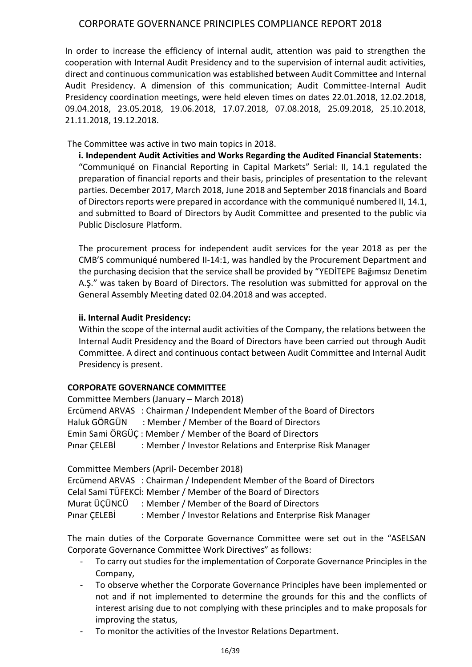In order to increase the efficiency of internal audit, attention was paid to strengthen the cooperation with Internal Audit Presidency and to the supervision of internal audit activities, direct and continuous communication was established between Audit Committee and Internal Audit Presidency. A dimension of this communication; Audit Committee-Internal Audit Presidency coordination meetings, were held eleven times on dates 22.01.2018, 12.02.2018, 09.04.2018, 23.05.2018, 19.06.2018, 17.07.2018, 07.08.2018, 25.09.2018, 25.10.2018, 21.11.2018, 19.12.2018.

The Committee was active in two main topics in 2018.

**i. Independent Audit Activities and Works Regarding the Audited Financial Statements:** "Communiqué on Financial Reporting in Capital Markets" Serial: II, 14.1 regulated the preparation of financial reports and their basis, principles of presentation to the relevant parties. December 2017, March 2018, June 2018 and September 2018 financials and Board of Directors reports were prepared in accordance with the communiqué numbered II, 14.1, and submitted to Board of Directors by Audit Committee and presented to the public via Public Disclosure Platform.

The procurement process for independent audit services for the year 2018 as per the CMB'S communiqué numbered II-14:1, was handled by the Procurement Department and the purchasing decision that the service shall be provided by "YEDİTEPE Bağımsız Denetim A.Ş." was taken by Board of Directors. The resolution was submitted for approval on the General Assembly Meeting dated 02.04.2018 and was accepted.

#### **ii. Internal Audit Presidency:**

Within the scope of the internal audit activities of the Company, the relations between the Internal Audit Presidency and the Board of Directors have been carried out through Audit Committee. A direct and continuous contact between Audit Committee and Internal Audit Presidency is present.

#### **CORPORATE GOVERNANCE COMMITTEE**

| Committee Members (January – March 2018) |                                                                          |  |  |  |  |  |  |
|------------------------------------------|--------------------------------------------------------------------------|--|--|--|--|--|--|
|                                          | Ercümend ARVAS : Chairman / Independent Member of the Board of Directors |  |  |  |  |  |  |
|                                          | Haluk GÖRGÜN : Member / Member of the Board of Directors                 |  |  |  |  |  |  |
|                                          | Emin Sami ÖRGÜÇ: Member / Member of the Board of Directors               |  |  |  |  |  |  |
| Pınar ÇELEBİ                             | : Member / Investor Relations and Enterprise Risk Manager                |  |  |  |  |  |  |
|                                          |                                                                          |  |  |  |  |  |  |

Committee Members (April- December 2018)

Ercümend ARVAS : Chairman / Independent Member of the Board of Directors Celal Sami TÜFEKCİ: Member / Member of the Board of Directors Murat ÜÇÜNCÜ : Member / Member of the Board of Directors Pinar ÇELEBİ : Member / Investor Relations and Enterprise Risk Manager

The main duties of the Corporate Governance Committee were set out in the "ASELSAN Corporate Governance Committee Work Directives" as follows:

- To carry out studies for the implementation of Corporate Governance Principles in the Company,
- To observe whether the Corporate Governance Principles have been implemented or not and if not implemented to determine the grounds for this and the conflicts of interest arising due to not complying with these principles and to make proposals for improving the status,
- To monitor the activities of the Investor Relations Department.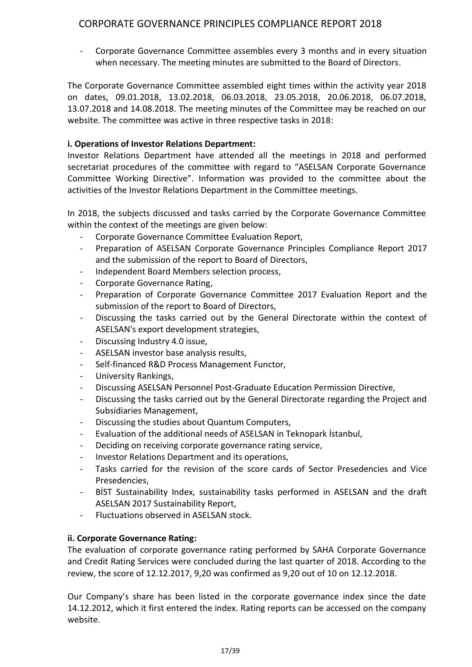- Corporate Governance Committee assembles every 3 months and in every situation when necessary. The meeting minutes are submitted to the Board of Directors.

The Corporate Governance Committee assembled eight times within the activity year 2018 on dates, 09.01.2018, 13.02.2018, 06.03.2018, 23.05.2018, 20.06.2018, 06.07.2018, 13.07.2018 and 14.08.2018. The meeting minutes of the Committee may be reached on our website. The committee was active in three respective tasks in 2018:

### **i. Operations of Investor Relations Department:**

Investor Relations Department have attended all the meetings in 2018 and performed secretariat procedures of the committee with regard to "ASELSAN Corporate Governance Committee Working Directive". Information was provided to the committee about the activities of the Investor Relations Department in the Committee meetings.

In 2018, the subjects discussed and tasks carried by the Corporate Governance Committee within the context of the meetings are given below:

- Corporate Governance Committee Evaluation Report,
- Preparation of ASELSAN Corporate Governance Principles Compliance Report 2017 and the submission of the report to Board of Directors,
- Independent Board Members selection process,
- Corporate Governance Rating,
- Preparation of Corporate Governance Committee 2017 Evaluation Report and the submission of the report to Board of Directors,
- Discussing the tasks carried out by the General Directorate within the context of ASELSAN's export development strategies,
- Discussing Industry 4.0 issue,
- ASELSAN investor base analysis results,
- Self-financed R&D Process Management Functor,
- University Rankings,
- Discussing ASELSAN Personnel Post-Graduate Education Permission Directive,
- Discussing the tasks carried out by the General Directorate regarding the Project and Subsidiaries Management,
- Discussing the studies about Quantum Computers,
- Evaluation of the additional needs of ASELSAN in Teknopark İstanbul,
- Deciding on receiving corporate governance rating service,
- Investor Relations Department and its operations,
- Tasks carried for the revision of the score cards of Sector Presedencies and Vice Presedencies,
- BİST Sustainability Index, sustainability tasks performed in ASELSAN and the draft ASELSAN 2017 Sustainability Report,
- Fluctuations observed in ASELSAN stock.

#### **ii. Corporate Governance Rating:**

The evaluation of corporate governance rating performed by SAHA Corporate Governance and Credit Rating Services were concluded during the last quarter of 2018. According to the review, the score of 12.12.2017, 9,20 was confirmed as 9,20 out of 10 on 12.12.2018.

Our Company's share has been listed in the corporate governance index since the date 14.12.2012, which it first entered the index. Rating reports can be accessed on the company website.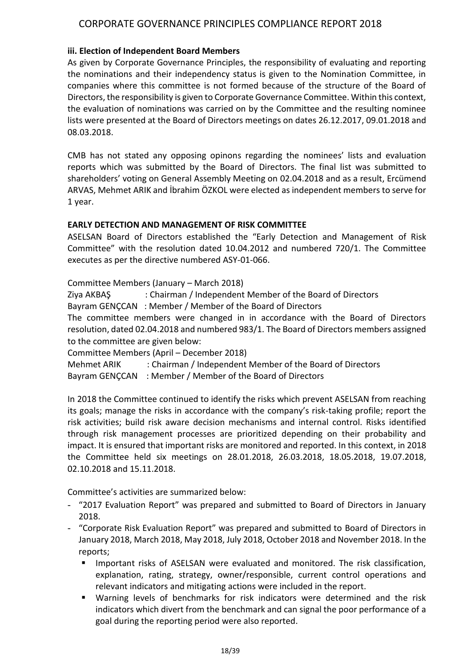#### **iii. Election of Independent Board Members**

As given by Corporate Governance Principles, the responsibility of evaluating and reporting the nominations and their independency status is given to the Nomination Committee, in companies where this committee is not formed because of the structure of the Board of Directors, the responsibility is given to Corporate Governance Committee. Within this context, the evaluation of nominations was carried on by the Committee and the resulting nominee lists were presented at the Board of Directors meetings on dates 26.12.2017, 09.01.2018 and 08.03.2018.

CMB has not stated any opposing opinons regarding the nominees' lists and evaluation reports which was submitted by the Board of Directors. The final list was submitted to shareholders' voting on General Assembly Meeting on 02.04.2018 and as a result, Ercümend ARVAS, Mehmet ARIK and İbrahim ÖZKOL were elected as independent members to serve for 1 year.

#### **EARLY DETECTION AND MANAGEMENT OF RISK COMMITTEE**

ASELSAN Board of Directors established the "Early Detection and Management of Risk Committee" with the resolution dated 10.04.2012 and numbered 720/1. The Committee executes as per the directive numbered ASY-01-066.

Committee Members (January – March 2018)

Ziya AKBAŞ : Chairman / Independent Member of the Board of Directors

Bayram GENÇCAN : Member / Member of the Board of Directors

The committee members were changed in in accordance with the Board of Directors resolution, dated 02.04.2018 and numbered 983/1. The Board of Directors members assigned to the committee are given below:

Committee Members (April – December 2018)

Mehmet ARIK : Chairman / Independent Member of the Board of Directors

Bayram GENÇCAN : Member / Member of the Board of Directors

In 2018 the Committee continued to identify the risks which prevent ASELSAN from reaching its goals; manage the risks in accordance with the company's risk-taking profile; report the risk activities; build risk aware decision mechanisms and internal control. Risks identified through risk management processes are prioritized depending on their probability and impact. It is ensured that important risks are monitored and reported. In this context, in 2018 the Committee held six meetings on 28.01.2018, 26.03.2018, 18.05.2018, 19.07.2018, 02.10.2018 and 15.11.2018.

Committee's activities are summarized below:

- "2017 Evaluation Report" was prepared and submitted to Board of Directors in January 2018.
- "Corporate Risk Evaluation Report" was prepared and submitted to Board of Directors in January 2018, March 2018, May 2018, July 2018, October 2018 and November 2018. In the reports;
	- Important risks of ASELSAN were evaluated and monitored. The risk classification, explanation, rating, strategy, owner/responsible, current control operations and relevant indicators and mitigating actions were included in the report.
	- Warning levels of benchmarks for risk indicators were determined and the risk indicators which divert from the benchmark and can signal the poor performance of a goal during the reporting period were also reported.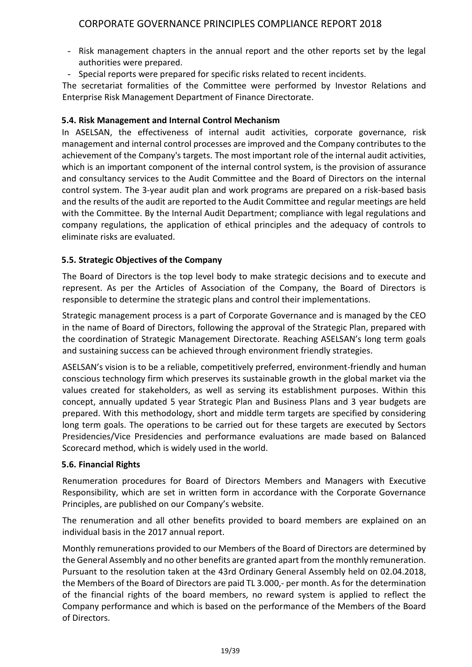- Risk management chapters in the annual report and the other reports set by the legal authorities were prepared.
- Special reports were prepared for specific risks related to recent incidents.

The secretariat formalities of the Committee were performed by Investor Relations and Enterprise Risk Management Department of Finance Directorate.

#### **5.4. Risk Management and Internal Control Mechanism**

In ASELSAN, the effectiveness of internal audit activities, corporate governance, risk management and internal control processes are improved and the Company contributes to the achievement of the Company's targets. The most important role of the internal audit activities, which is an important component of the internal control system, is the provision of assurance and consultancy services to the Audit Committee and the Board of Directors on the internal control system. The 3-year audit plan and work programs are prepared on a risk-based basis and the results of the audit are reported to the Audit Committee and regular meetings are held with the Committee. By the Internal Audit Department; compliance with legal regulations and company regulations, the application of ethical principles and the adequacy of controls to eliminate risks are evaluated.

### **5.5. Strategic Objectives of the Company**

The Board of Directors is the top level body to make strategic decisions and to execute and represent. As per the Articles of Association of the Company, the Board of Directors is responsible to determine the strategic plans and control their implementations.

Strategic management process is a part of Corporate Governance and is managed by the CEO in the name of Board of Directors, following the approval of the Strategic Plan, prepared with the coordination of Strategic Management Directorate. Reaching ASELSAN's long term goals and sustaining success can be achieved through environment friendly strategies.

ASELSAN's vision is to be a reliable, competitively preferred, environment-friendly and human conscious technology firm which preserves its sustainable growth in the global market via the values created for stakeholders, as well as serving its establishment purposes. Within this concept, annually updated 5 year Strategic Plan and Business Plans and 3 year budgets are prepared. With this methodology, short and middle term targets are specified by considering long term goals. The operations to be carried out for these targets are executed by Sectors Presidencies/Vice Presidencies and performance evaluations are made based on Balanced Scorecard method, which is widely used in the world.

#### **5.6. Financial Rights**

Renumeration procedures for Board of Directors Members and Managers with Executive Responsibility, which are set in written form in accordance with the Corporate Governance Principles, are published on our Company's website.

The renumeration and all other benefits provided to board members are explained on an individual basis in the 2017 annual report.

Monthly remunerations provided to our Members of the Board of Directors are determined by the General Assembly and no other benefits are granted apart from the monthly remuneration. Pursuant to the resolution taken at the 43rd Ordinary General Assembly held on 02.04.2018, the Members of the Board of Directors are paid TL 3.000,- per month. As for the determination of the financial rights of the board members, no reward system is applied to reflect the Company performance and which is based on the performance of the Members of the Board of Directors.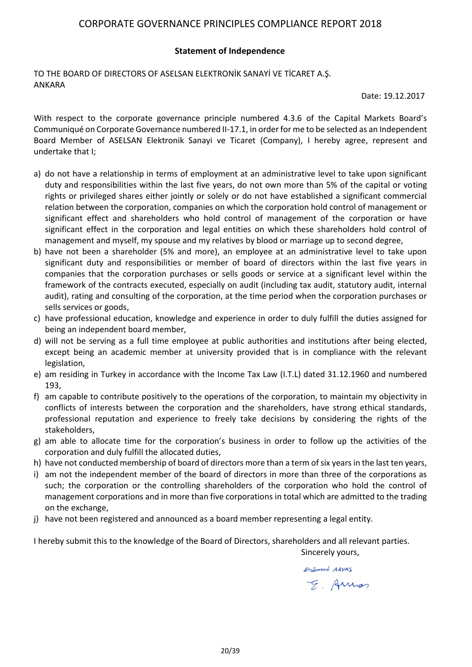#### **Statement of Independence**

TO THE BOARD OF DIRECTORS OF ASELSAN ELEKTRONİK SANAYİ VE TİCARET A.Ş. ANKARA

Date: 19.12.2017

With respect to the corporate governance principle numbered 4.3.6 of the Capital Markets Board's Communiqué on Corporate Governance numbered II-17.1, in order for me to be selected as an Independent Board Member of ASELSAN Elektronik Sanayi ve Ticaret (Company), I hereby agree, represent and undertake that I;

- a) do not have a relationship in terms of employment at an administrative level to take upon significant duty and responsibilities within the last five years, do not own more than 5% of the capital or voting rights or privileged shares either jointly or solely or do not have established a significant commercial relation between the corporation, companies on which the corporation hold control of management or significant effect and shareholders who hold control of management of the corporation or have significant effect in the corporation and legal entities on which these shareholders hold control of management and myself, my spouse and my relatives by blood or marriage up to second degree,
- b) have not been a shareholder (5% and more), an employee at an administrative level to take upon significant duty and responsibilities or member of board of directors within the last five years in companies that the corporation purchases or sells goods or service at a significant level within the framework of the contracts executed, especially on audit (including tax audit, statutory audit, internal audit), rating and consulting of the corporation, at the time period when the corporation purchases or sells services or goods,
- c) have professional education, knowledge and experience in order to duly fulfill the duties assigned for being an independent board member,
- d) will not be serving as a full time employee at public authorities and institutions after being elected, except being an academic member at university provided that is in compliance with the relevant legislation,
- e) am residing in Turkey in accordance with the Income Tax Law (I.T.L) dated 31.12.1960 and numbered 193,
- f) am capable to contribute positively to the operations of the corporation, to maintain my objectivity in conflicts of interests between the corporation and the shareholders, have strong ethical standards, professional reputation and experience to freely take decisions by considering the rights of the stakeholders,
- g) am able to allocate time for the corporation's business in order to follow up the activities of the corporation and duly fulfill the allocated duties,
- h) have not conducted membership of board of directors more than a term of six years in the last ten years,
- i) am not the independent member of the board of directors in more than three of the corporations as such; the corporation or the controlling shareholders of the corporation who hold the control of management corporations and in more than five corporations in total which are admitted to the trading on the exchange,
- j) have not been registered and announced as a board member representing a legal entity.

I hereby submit this to the knowledge of the Board of Directors, shareholders and all relevant parties.

Sincerely yours,Erinnend ARVAS

E. Armos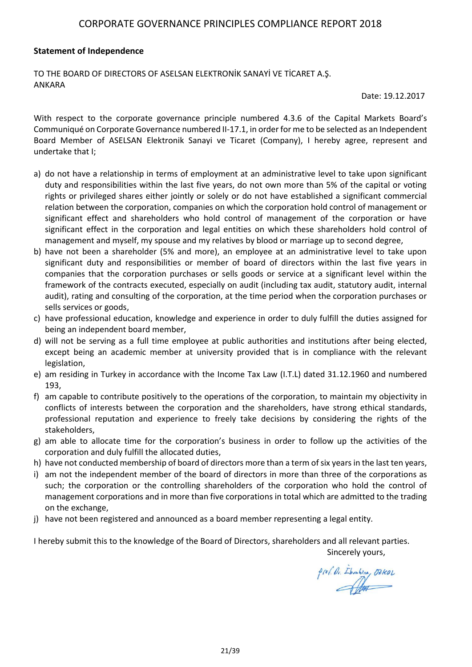#### **Statement of Independence**

TO THE BOARD OF DIRECTORS OF ASELSAN ELEKTRONİK SANAYİ VE TİCARET A.Ş. ANKARA

Date: 19.12.2017

With respect to the corporate governance principle numbered 4.3.6 of the Capital Markets Board's Communiqué on Corporate Governance numbered II-17.1, in order for me to be selected as an Independent Board Member of ASELSAN Elektronik Sanayi ve Ticaret (Company), I hereby agree, represent and undertake that I;

- a) do not have a relationship in terms of employment at an administrative level to take upon significant duty and responsibilities within the last five years, do not own more than 5% of the capital or voting rights or privileged shares either jointly or solely or do not have established a significant commercial relation between the corporation, companies on which the corporation hold control of management or significant effect and shareholders who hold control of management of the corporation or have significant effect in the corporation and legal entities on which these shareholders hold control of management and myself, my spouse and my relatives by blood or marriage up to second degree,
- b) have not been a shareholder (5% and more), an employee at an administrative level to take upon significant duty and responsibilities or member of board of directors within the last five years in companies that the corporation purchases or sells goods or service at a significant level within the framework of the contracts executed, especially on audit (including tax audit, statutory audit, internal audit), rating and consulting of the corporation, at the time period when the corporation purchases or sells services or goods,
- c) have professional education, knowledge and experience in order to duly fulfill the duties assigned for being an independent board member,
- d) will not be serving as a full time employee at public authorities and institutions after being elected, except being an academic member at university provided that is in compliance with the relevant legislation,
- e) am residing in Turkey in accordance with the Income Tax Law (I.T.L) dated 31.12.1960 and numbered 193,
- f) am capable to contribute positively to the operations of the corporation, to maintain my objectivity in conflicts of interests between the corporation and the shareholders, have strong ethical standards, professional reputation and experience to freely take decisions by considering the rights of the stakeholders,
- g) am able to allocate time for the corporation's business in order to follow up the activities of the corporation and duly fulfill the allocated duties,
- h) have not conducted membership of board of directors more than a term of six years in the last ten years,
- i) am not the independent member of the board of directors in more than three of the corporations as such; the corporation or the controlling shareholders of the corporation who hold the control of management corporations and in more than five corporations in total which are admitted to the trading on the exchange,
- j) have not been registered and announced as a board member representing a legal entity.

I hereby submit this to the knowledge of the Board of Directors, shareholders and all relevant parties. Sincerely yours,

prof. Dr. Ibrahim, OZKOL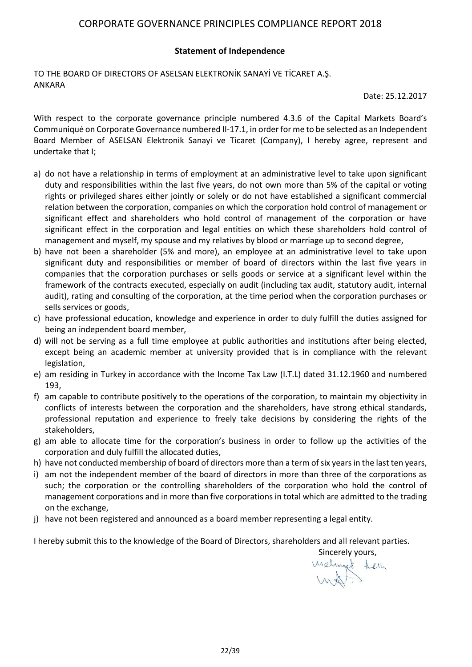#### **Statement of Independence**

TO THE BOARD OF DIRECTORS OF ASELSAN ELEKTRONİK SANAYİ VE TİCARET A.Ş. ANKARA

Date: 25.12.2017

With respect to the corporate governance principle numbered 4.3.6 of the Capital Markets Board's Communiqué on Corporate Governance numbered II-17.1, in order for me to be selected as an Independent Board Member of ASELSAN Elektronik Sanayi ve Ticaret (Company), I hereby agree, represent and undertake that I;

- a) do not have a relationship in terms of employment at an administrative level to take upon significant duty and responsibilities within the last five years, do not own more than 5% of the capital or voting rights or privileged shares either jointly or solely or do not have established a significant commercial relation between the corporation, companies on which the corporation hold control of management or significant effect and shareholders who hold control of management of the corporation or have significant effect in the corporation and legal entities on which these shareholders hold control of management and myself, my spouse and my relatives by blood or marriage up to second degree,
- b) have not been a shareholder (5% and more), an employee at an administrative level to take upon significant duty and responsibilities or member of board of directors within the last five years in companies that the corporation purchases or sells goods or service at a significant level within the framework of the contracts executed, especially on audit (including tax audit, statutory audit, internal audit), rating and consulting of the corporation, at the time period when the corporation purchases or sells services or goods,
- c) have professional education, knowledge and experience in order to duly fulfill the duties assigned for being an independent board member,
- d) will not be serving as a full time employee at public authorities and institutions after being elected, except being an academic member at university provided that is in compliance with the relevant legislation,
- e) am residing in Turkey in accordance with the Income Tax Law (I.T.L) dated 31.12.1960 and numbered 193,
- f) am capable to contribute positively to the operations of the corporation, to maintain my objectivity in conflicts of interests between the corporation and the shareholders, have strong ethical standards, professional reputation and experience to freely take decisions by considering the rights of the stakeholders,
- g) am able to allocate time for the corporation's business in order to follow up the activities of the corporation and duly fulfill the allocated duties,
- h) have not conducted membership of board of directors more than a term of six years in the last ten years,
- i) am not the independent member of the board of directors in more than three of the corporations as such; the corporation or the controlling shareholders of the corporation who hold the control of management corporations and in more than five corporations in total which are admitted to the trading on the exchange,
- j) have not been registered and announced as a board member representing a legal entity.

I hereby submit this to the knowledge of the Board of Directors, shareholders and all relevant parties.

Sincerely yours,<br>Urelinget felly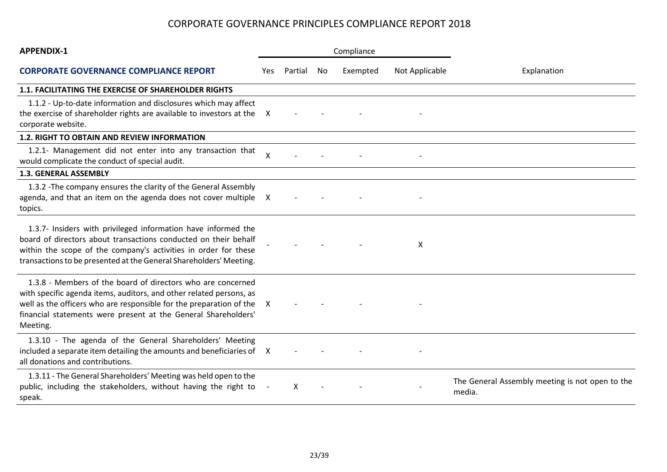| <b>APPENDIX-1</b>                                                                                                                                                                                                                                                                       | Compliance      |         |    |          |                |                                                           |  |
|-----------------------------------------------------------------------------------------------------------------------------------------------------------------------------------------------------------------------------------------------------------------------------------------|-----------------|---------|----|----------|----------------|-----------------------------------------------------------|--|
| <b>CORPORATE GOVERNANCE COMPLIANCE REPORT</b>                                                                                                                                                                                                                                           | Yes             | Partial | No | Exempted | Not Applicable | Explanation                                               |  |
| 1.1. FACILITATING THE EXERCISE OF SHAREHOLDER RIGHTS                                                                                                                                                                                                                                    |                 |         |    |          |                |                                                           |  |
| 1.1.2 - Up-to-date information and disclosures which may affect<br>the exercise of shareholder rights are available to investors at the<br>corporate website.                                                                                                                           | X               |         |    |          |                |                                                           |  |
| 1.2. RIGHT TO OBTAIN AND REVIEW INFORMATION                                                                                                                                                                                                                                             |                 |         |    |          |                |                                                           |  |
| 1.2.1- Management did not enter into any transaction that<br>would complicate the conduct of special audit.                                                                                                                                                                             | $\mathsf{\chi}$ |         |    |          |                |                                                           |  |
| <b>1.3. GENERAL ASSEMBLY</b>                                                                                                                                                                                                                                                            |                 |         |    |          |                |                                                           |  |
| 1.3.2 - The company ensures the clarity of the General Assembly<br>agenda, and that an item on the agenda does not cover multiple X<br>topics.                                                                                                                                          |                 |         |    |          |                |                                                           |  |
| 1.3.7- Insiders with privileged information have informed the<br>board of directors about transactions conducted on their behalf<br>within the scope of the company's activities in order for these<br>transactions to be presented at the General Shareholders' Meeting.               |                 |         |    |          | X              |                                                           |  |
| 1.3.8 - Members of the board of directors who are concerned<br>with specific agenda items, auditors, and other related persons, as<br>well as the officers who are responsible for the preparation of the<br>financial statements were present at the General Shareholders'<br>Meeting. | X               |         |    |          |                |                                                           |  |
| 1.3.10 - The agenda of the General Shareholders' Meeting<br>included a separate item detailing the amounts and beneficiaries of X<br>all donations and contributions.                                                                                                                   |                 |         |    |          |                |                                                           |  |
| 1.3.11 - The General Shareholders' Meeting was held open to the<br>public, including the stakeholders, without having the right to<br>speak.                                                                                                                                            |                 | X       |    |          |                | The General Assembly meeting is not open to the<br>media. |  |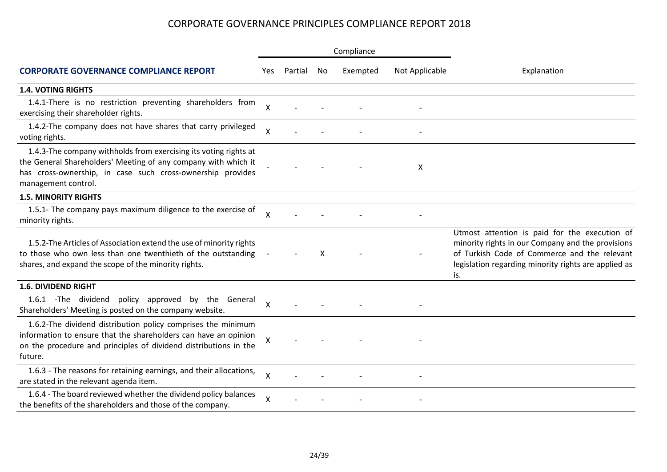|                                                                                                                                                                                                                         |                           |         |    | Compliance |                |                                                                                                                                                                                                                   |  |
|-------------------------------------------------------------------------------------------------------------------------------------------------------------------------------------------------------------------------|---------------------------|---------|----|------------|----------------|-------------------------------------------------------------------------------------------------------------------------------------------------------------------------------------------------------------------|--|
| <b>CORPORATE GOVERNANCE COMPLIANCE REPORT</b>                                                                                                                                                                           | Yes.                      | Partial | No | Exempted   | Not Applicable | Explanation                                                                                                                                                                                                       |  |
| <b>1.4. VOTING RIGHTS</b>                                                                                                                                                                                               |                           |         |    |            |                |                                                                                                                                                                                                                   |  |
| 1.4.1-There is no restriction preventing shareholders from<br>exercising their shareholder rights.                                                                                                                      | X                         |         |    |            |                |                                                                                                                                                                                                                   |  |
| 1.4.2-The company does not have shares that carry privileged<br>voting rights.                                                                                                                                          | Χ                         |         |    |            |                |                                                                                                                                                                                                                   |  |
| 1.4.3-The company withholds from exercising its voting rights at<br>the General Shareholders' Meeting of any company with which it<br>has cross-ownership, in case such cross-ownership provides<br>management control. |                           |         |    |            | X              |                                                                                                                                                                                                                   |  |
| <b>1.5. MINORITY RIGHTS</b>                                                                                                                                                                                             |                           |         |    |            |                |                                                                                                                                                                                                                   |  |
| 1.5.1- The company pays maximum diligence to the exercise of<br>minority rights.                                                                                                                                        | X                         |         |    |            |                |                                                                                                                                                                                                                   |  |
| 1.5.2-The Articles of Association extend the use of minority rights<br>to those who own less than one twenthieth of the outstanding<br>shares, and expand the scope of the minority rights.                             |                           |         | x  |            |                | Utmost attention is paid for the execution of<br>minority rights in our Company and the provisions<br>of Turkish Code of Commerce and the relevant<br>legislation regarding minority rights are applied as<br>is. |  |
| <b>1.6. DIVIDEND RIGHT</b>                                                                                                                                                                                              |                           |         |    |            |                |                                                                                                                                                                                                                   |  |
| 1.6.1 -The dividend policy approved<br>by the General<br>Shareholders' Meeting is posted on the company website.                                                                                                        | $\boldsymbol{\mathsf{X}}$ |         |    |            |                |                                                                                                                                                                                                                   |  |
| 1.6.2-The dividend distribution policy comprises the minimum<br>information to ensure that the shareholders can have an opinion<br>on the procedure and principles of dividend distributions in the<br>future.          | Χ                         |         |    |            |                |                                                                                                                                                                                                                   |  |
| 1.6.3 - The reasons for retaining earnings, and their allocations,<br>are stated in the relevant agenda item.                                                                                                           | X                         |         |    |            |                |                                                                                                                                                                                                                   |  |
| 1.6.4 - The board reviewed whether the dividend policy balances<br>the benefits of the shareholders and those of the company.                                                                                           | Χ                         |         |    |            |                |                                                                                                                                                                                                                   |  |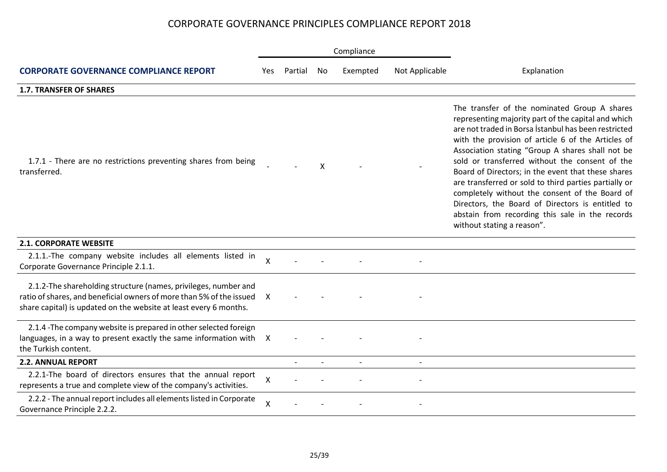|                                                                                                                                                                                                              |              |         |    | Compliance     |                |                                                                                                                                                                                                                                                                                                                                                                                                                                                                                                                                                                                                                               |
|--------------------------------------------------------------------------------------------------------------------------------------------------------------------------------------------------------------|--------------|---------|----|----------------|----------------|-------------------------------------------------------------------------------------------------------------------------------------------------------------------------------------------------------------------------------------------------------------------------------------------------------------------------------------------------------------------------------------------------------------------------------------------------------------------------------------------------------------------------------------------------------------------------------------------------------------------------------|
| <b>CORPORATE GOVERNANCE COMPLIANCE REPORT</b>                                                                                                                                                                | Yes.         | Partial | No | Exempted       | Not Applicable | Explanation                                                                                                                                                                                                                                                                                                                                                                                                                                                                                                                                                                                                                   |
| <b>1.7. TRANSFER OF SHARES</b>                                                                                                                                                                               |              |         |    |                |                |                                                                                                                                                                                                                                                                                                                                                                                                                                                                                                                                                                                                                               |
| 1.7.1 - There are no restrictions preventing shares from being<br>transferred.                                                                                                                               |              |         | X  |                |                | The transfer of the nominated Group A shares<br>representing majority part of the capital and which<br>are not traded in Borsa İstanbul has been restricted<br>with the provision of article 6 of the Articles of<br>Association stating "Group A shares shall not be<br>sold or transferred without the consent of the<br>Board of Directors; in the event that these shares<br>are transferred or sold to third parties partially or<br>completely without the consent of the Board of<br>Directors, the Board of Directors is entitled to<br>abstain from recording this sale in the records<br>without stating a reason". |
| <b>2.1. CORPORATE WEBSITE</b>                                                                                                                                                                                |              |         |    |                |                |                                                                                                                                                                                                                                                                                                                                                                                                                                                                                                                                                                                                                               |
| 2.1.1.-The company website includes all elements listed in<br>Corporate Governance Principle 2.1.1.                                                                                                          | Χ            |         |    |                |                |                                                                                                                                                                                                                                                                                                                                                                                                                                                                                                                                                                                                                               |
| 2.1.2-The shareholding structure (names, privileges, number and<br>ratio of shares, and beneficial owners of more than 5% of the issued<br>share capital) is updated on the website at least every 6 months. | X            |         |    |                |                |                                                                                                                                                                                                                                                                                                                                                                                                                                                                                                                                                                                                                               |
| 2.1.4 - The company website is prepared in other selected foreign<br>languages, in a way to present exactly the same information with X<br>the Turkish content.                                              |              |         |    |                |                |                                                                                                                                                                                                                                                                                                                                                                                                                                                                                                                                                                                                                               |
| <b>2.2. ANNUAL REPORT</b>                                                                                                                                                                                    |              |         |    | $\overline{a}$ |                |                                                                                                                                                                                                                                                                                                                                                                                                                                                                                                                                                                                                                               |
| 2.2.1-The board of directors ensures that the annual report<br>represents a true and complete view of the company's activities.                                                                              | X            |         |    |                |                |                                                                                                                                                                                                                                                                                                                                                                                                                                                                                                                                                                                                                               |
| 2.2.2 - The annual report includes all elements listed in Corporate<br>Governance Principle 2.2.2.                                                                                                           | $\mathsf{X}$ |         |    |                |                |                                                                                                                                                                                                                                                                                                                                                                                                                                                                                                                                                                                                                               |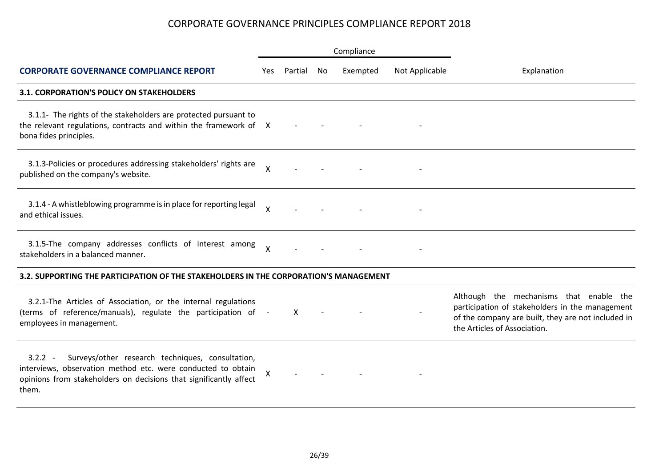|                                                                                                                                                                                                             | Compliance         |         |    |          |                |                                                                                                                                                                                  |  |
|-------------------------------------------------------------------------------------------------------------------------------------------------------------------------------------------------------------|--------------------|---------|----|----------|----------------|----------------------------------------------------------------------------------------------------------------------------------------------------------------------------------|--|
| <b>CORPORATE GOVERNANCE COMPLIANCE REPORT</b>                                                                                                                                                               | Yes                | Partial | No | Exempted | Not Applicable | Explanation                                                                                                                                                                      |  |
| <b>3.1. CORPORATION'S POLICY ON STAKEHOLDERS</b>                                                                                                                                                            |                    |         |    |          |                |                                                                                                                                                                                  |  |
| 3.1.1- The rights of the stakeholders are protected pursuant to<br>the relevant regulations, contracts and within the framework of X<br>bona fides principles.                                              |                    |         |    |          |                |                                                                                                                                                                                  |  |
| 3.1.3-Policies or procedures addressing stakeholders' rights are<br>published on the company's website.                                                                                                     | $\mathsf{\chi}$    |         |    |          |                |                                                                                                                                                                                  |  |
| 3.1.4 - A whistleblowing programme is in place for reporting legal<br>and ethical issues.                                                                                                                   | $\sf X$            |         |    |          |                |                                                                                                                                                                                  |  |
| 3.1.5-The company addresses conflicts of interest among<br>stakeholders in a balanced manner.                                                                                                               | X                  |         |    |          |                |                                                                                                                                                                                  |  |
| 3.2. SUPPORTING THE PARTICIPATION OF THE STAKEHOLDERS IN THE CORPORATION'S MANAGEMENT                                                                                                                       |                    |         |    |          |                |                                                                                                                                                                                  |  |
| 3.2.1-The Articles of Association, or the internal regulations<br>(terms of reference/manuals), regulate the participation of -<br>employees in management.                                                 |                    | X       |    |          |                | Although the mechanisms that enable the<br>participation of stakeholders in the management<br>of the company are built, they are not included in<br>the Articles of Association. |  |
| Surveys/other research techniques, consultation,<br>$3.2.2 -$<br>interviews, observation method etc. were conducted to obtain<br>opinions from stakeholders on decisions that significantly affect<br>them. | $\pmb{\mathsf{X}}$ |         |    |          |                |                                                                                                                                                                                  |  |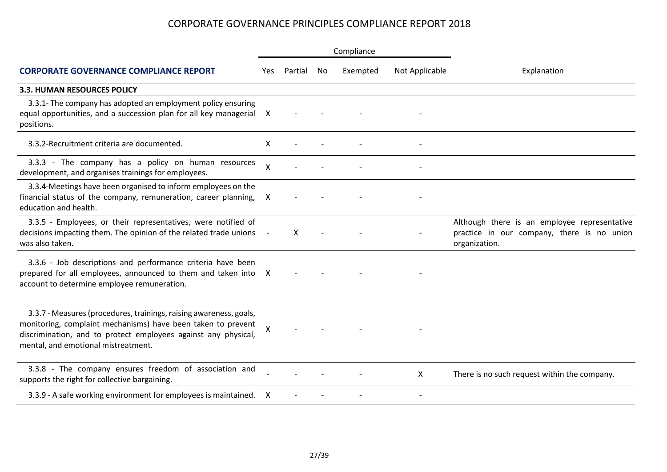|                                                                                                                                                                                                                                             |              |         |           | Compliance |                |                                                                                                             |  |
|---------------------------------------------------------------------------------------------------------------------------------------------------------------------------------------------------------------------------------------------|--------------|---------|-----------|------------|----------------|-------------------------------------------------------------------------------------------------------------|--|
| <b>CORPORATE GOVERNANCE COMPLIANCE REPORT</b>                                                                                                                                                                                               | Yes          | Partial | <b>No</b> | Exempted   | Not Applicable | Explanation                                                                                                 |  |
| 3.3. HUMAN RESOURCES POLICY                                                                                                                                                                                                                 |              |         |           |            |                |                                                                                                             |  |
| 3.3.1- The company has adopted an employment policy ensuring<br>equal opportunities, and a succession plan for all key managerial X<br>positions.                                                                                           |              |         |           |            |                |                                                                                                             |  |
| 3.3.2-Recruitment criteria are documented.                                                                                                                                                                                                  | X            |         |           |            |                |                                                                                                             |  |
| 3.3.3 - The company has a policy on human resources<br>development, and organises trainings for employees.                                                                                                                                  | $\mathsf{X}$ |         |           |            |                |                                                                                                             |  |
| 3.3.4-Meetings have been organised to inform employees on the<br>financial status of the company, remuneration, career planning,<br>education and health.                                                                                   | X            |         |           |            |                |                                                                                                             |  |
| 3.3.5 - Employees, or their representatives, were notified of<br>decisions impacting them. The opinion of the related trade unions<br>was also taken.                                                                                       |              | X       |           |            |                | Although there is an employee representative<br>practice in our company, there is no union<br>organization. |  |
| 3.3.6 - Job descriptions and performance criteria have been<br>prepared for all employees, announced to them and taken into X<br>account to determine employee remuneration.                                                                |              |         |           |            |                |                                                                                                             |  |
| 3.3.7 - Measures (procedures, trainings, raising awareness, goals,<br>monitoring, complaint mechanisms) have been taken to prevent<br>discrimination, and to protect employees against any physical,<br>mental, and emotional mistreatment. | X            |         |           |            |                |                                                                                                             |  |
| 3.3.8 - The company ensures freedom of association and<br>supports the right for collective bargaining.                                                                                                                                     |              |         |           |            | X              | There is no such request within the company.                                                                |  |
| 3.3.9 - A safe working environment for employees is maintained.                                                                                                                                                                             | X            |         |           |            |                |                                                                                                             |  |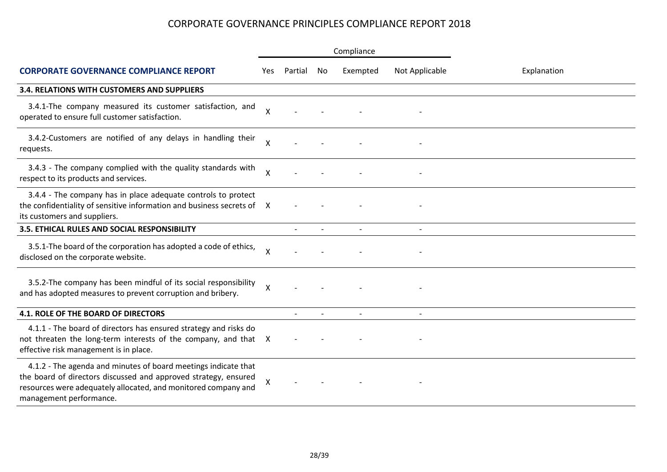|                                                                                                                                                                                                                                |              |         |     | Compliance |                |             |  |
|--------------------------------------------------------------------------------------------------------------------------------------------------------------------------------------------------------------------------------|--------------|---------|-----|------------|----------------|-------------|--|
| <b>CORPORATE GOVERNANCE COMPLIANCE REPORT</b>                                                                                                                                                                                  | Yes.         | Partial | No. | Exempted   | Not Applicable | Explanation |  |
| <b>3.4. RELATIONS WITH CUSTOMERS AND SUPPLIERS</b>                                                                                                                                                                             |              |         |     |            |                |             |  |
| 3.4.1-The company measured its customer satisfaction, and<br>operated to ensure full customer satisfaction.                                                                                                                    | X            |         |     |            |                |             |  |
| 3.4.2-Customers are notified of any delays in handling their<br>requests.                                                                                                                                                      | X            |         |     |            |                |             |  |
| 3.4.3 - The company complied with the quality standards with<br>respect to its products and services.                                                                                                                          | X            |         |     |            |                |             |  |
| 3.4.4 - The company has in place adequate controls to protect<br>the confidentiality of sensitive information and business secrets of X<br>its customers and suppliers.                                                        |              |         |     |            |                |             |  |
| 3.5. ETHICAL RULES AND SOCIAL RESPONSIBILITY                                                                                                                                                                                   |              |         |     |            |                |             |  |
| 3.5.1-The board of the corporation has adopted a code of ethics,<br>disclosed on the corporate website.                                                                                                                        | X            |         |     |            |                |             |  |
| 3.5.2-The company has been mindful of its social responsibility<br>and has adopted measures to prevent corruption and bribery.                                                                                                 | $\mathsf{X}$ |         |     |            |                |             |  |
| <b>4.1. ROLE OF THE BOARD OF DIRECTORS</b>                                                                                                                                                                                     |              |         |     |            |                |             |  |
| 4.1.1 - The board of directors has ensured strategy and risks do<br>not threaten the long-term interests of the company, and that X<br>effective risk management is in place.                                                  |              |         |     |            |                |             |  |
| 4.1.2 - The agenda and minutes of board meetings indicate that<br>the board of directors discussed and approved strategy, ensured<br>resources were adequately allocated, and monitored company and<br>management performance. | X            |         |     |            |                |             |  |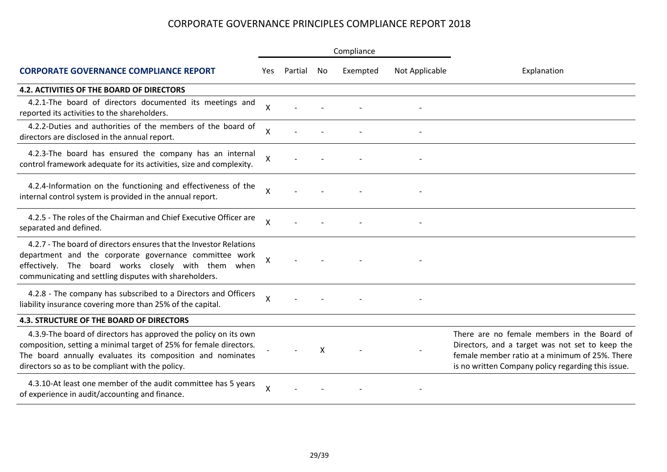|                                                                                                                                                                                                                                                         |                           |         |    | Compliance |                |                                                                                                                                                                                                        |  |  |
|---------------------------------------------------------------------------------------------------------------------------------------------------------------------------------------------------------------------------------------------------------|---------------------------|---------|----|------------|----------------|--------------------------------------------------------------------------------------------------------------------------------------------------------------------------------------------------------|--|--|
| <b>CORPORATE GOVERNANCE COMPLIANCE REPORT</b>                                                                                                                                                                                                           | Yes                       | Partial | No | Exempted   | Not Applicable | Explanation                                                                                                                                                                                            |  |  |
| <b>4.2. ACTIVITIES OF THE BOARD OF DIRECTORS</b>                                                                                                                                                                                                        |                           |         |    |            |                |                                                                                                                                                                                                        |  |  |
| 4.2.1-The board of directors documented its meetings and<br>reported its activities to the shareholders.                                                                                                                                                | X                         |         |    |            |                |                                                                                                                                                                                                        |  |  |
| 4.2.2-Duties and authorities of the members of the board of<br>directors are disclosed in the annual report.                                                                                                                                            | Χ                         |         |    |            |                |                                                                                                                                                                                                        |  |  |
| 4.2.3-The board has ensured the company has an internal<br>control framework adequate for its activities, size and complexity.                                                                                                                          | Χ                         |         |    |            |                |                                                                                                                                                                                                        |  |  |
| 4.2.4-Information on the functioning and effectiveness of the<br>internal control system is provided in the annual report.                                                                                                                              | X                         |         |    |            |                |                                                                                                                                                                                                        |  |  |
| 4.2.5 - The roles of the Chairman and Chief Executive Officer are<br>separated and defined.                                                                                                                                                             | Χ                         |         |    |            |                |                                                                                                                                                                                                        |  |  |
| 4.2.7 - The board of directors ensures that the Investor Relations<br>department and the corporate governance committee work<br>effectively. The board works closely with them when<br>communicating and settling disputes with shareholders.           | X                         |         |    |            |                |                                                                                                                                                                                                        |  |  |
| 4.2.8 - The company has subscribed to a Directors and Officers<br>liability insurance covering more than 25% of the capital.                                                                                                                            | $\boldsymbol{\mathsf{X}}$ |         |    |            |                |                                                                                                                                                                                                        |  |  |
| <b>4.3. STRUCTURE OF THE BOARD OF DIRECTORS</b>                                                                                                                                                                                                         |                           |         |    |            |                |                                                                                                                                                                                                        |  |  |
| 4.3.9-The board of directors has approved the policy on its own<br>composition, setting a minimal target of 25% for female directors.<br>The board annually evaluates its composition and nominates<br>directors so as to be compliant with the policy. |                           |         | X  |            |                | There are no female members in the Board of<br>Directors, and a target was not set to keep the<br>female member ratio at a minimum of 25%. There<br>is no written Company policy regarding this issue. |  |  |
| 4.3.10-At least one member of the audit committee has 5 years<br>of experience in audit/accounting and finance.                                                                                                                                         | X                         |         |    |            |                |                                                                                                                                                                                                        |  |  |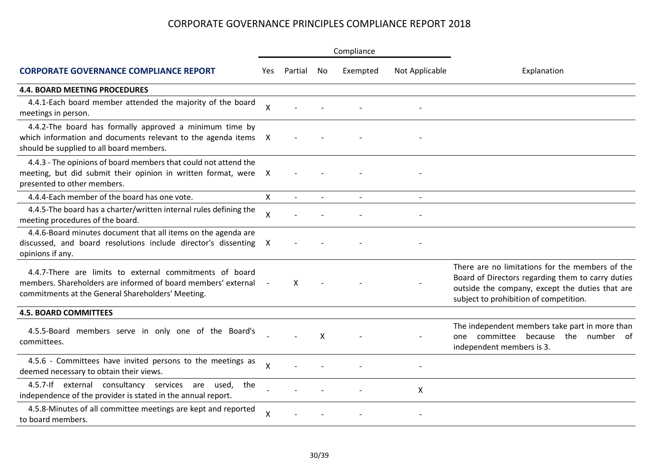|                                                                                                                                                                               |                           |         |              | Compliance |                |                                                                                                                                                                                                   |  |  |
|-------------------------------------------------------------------------------------------------------------------------------------------------------------------------------|---------------------------|---------|--------------|------------|----------------|---------------------------------------------------------------------------------------------------------------------------------------------------------------------------------------------------|--|--|
| <b>CORPORATE GOVERNANCE COMPLIANCE REPORT</b>                                                                                                                                 | Yes.                      | Partial | No.          | Exempted   | Not Applicable | Explanation                                                                                                                                                                                       |  |  |
| <b>4.4. BOARD MEETING PROCEDURES</b>                                                                                                                                          |                           |         |              |            |                |                                                                                                                                                                                                   |  |  |
| 4.4.1-Each board member attended the majority of the board<br>meetings in person.                                                                                             | $\mathsf{\chi}$           |         |              |            |                |                                                                                                                                                                                                   |  |  |
| 4.4.2-The board has formally approved a minimum time by<br>which information and documents relevant to the agenda items X<br>should be supplied to all board members.         |                           |         |              |            |                |                                                                                                                                                                                                   |  |  |
| 4.4.3 - The opinions of board members that could not attend the<br>meeting, but did submit their opinion in written format, were<br>presented to other members.               | X                         |         |              |            |                |                                                                                                                                                                                                   |  |  |
| 4.4.4-Each member of the board has one vote.                                                                                                                                  | X                         |         | $\mathbf{r}$ |            |                |                                                                                                                                                                                                   |  |  |
| 4.4.5-The board has a charter/written internal rules defining the<br>meeting procedures of the board.                                                                         | $\boldsymbol{\mathsf{X}}$ |         |              |            |                |                                                                                                                                                                                                   |  |  |
| 4.4.6-Board minutes document that all items on the agenda are<br>discussed, and board resolutions include director's dissenting<br>opinions if any.                           | X                         |         |              |            |                |                                                                                                                                                                                                   |  |  |
| 4.4.7-There are limits to external commitments of board<br>members. Shareholders are informed of board members' external<br>commitments at the General Shareholders' Meeting. |                           | X       |              |            |                | There are no limitations for the members of the<br>Board of Directors regarding them to carry duties<br>outside the company, except the duties that are<br>subject to prohibition of competition. |  |  |
| <b>4.5. BOARD COMMITTEES</b>                                                                                                                                                  |                           |         |              |            |                |                                                                                                                                                                                                   |  |  |
| 4.5.5-Board members serve in only one of the Board's<br>committees.                                                                                                           |                           |         | X            |            |                | The independent members take part in more than<br>one committee because the number of<br>independent members is 3.                                                                                |  |  |
| 4.5.6 - Committees have invited persons to the meetings as<br>deemed necessary to obtain their views.                                                                         | X                         |         |              |            |                |                                                                                                                                                                                                   |  |  |
| 4.5.7-If external consultancy services are used,<br>the<br>independence of the provider is stated in the annual report.                                                       |                           |         |              |            | X              |                                                                                                                                                                                                   |  |  |
| 4.5.8-Minutes of all committee meetings are kept and reported<br>to board members.                                                                                            | X                         |         |              |            |                |                                                                                                                                                                                                   |  |  |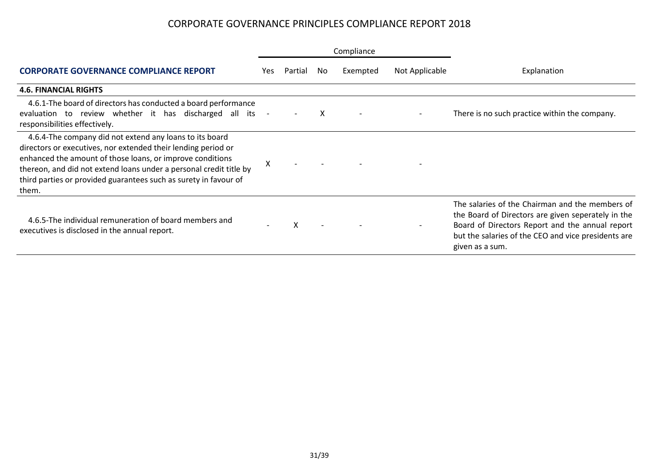|                                                                                                                                                                                                                                                                                                                                          | Compliance |         |     |                          |                |                                                                                                                                                                                                                                    |  |  |
|------------------------------------------------------------------------------------------------------------------------------------------------------------------------------------------------------------------------------------------------------------------------------------------------------------------------------------------|------------|---------|-----|--------------------------|----------------|------------------------------------------------------------------------------------------------------------------------------------------------------------------------------------------------------------------------------------|--|--|
| <b>CORPORATE GOVERNANCE COMPLIANCE REPORT</b>                                                                                                                                                                                                                                                                                            | Yes.       | Partial | No. | Exempted                 | Not Applicable | Explanation                                                                                                                                                                                                                        |  |  |
| <b>4.6. FINANCIAL RIGHTS</b>                                                                                                                                                                                                                                                                                                             |            |         |     |                          |                |                                                                                                                                                                                                                                    |  |  |
| 4.6.1-The board of directors has conducted a board performance<br>evaluation to review whether it has discharged all its<br>responsibilities effectively.                                                                                                                                                                                | $\sim$     |         | X   | $\overline{\phantom{a}}$ |                | There is no such practice within the company.                                                                                                                                                                                      |  |  |
| 4.6.4-The company did not extend any loans to its board<br>directors or executives, nor extended their lending period or<br>enhanced the amount of those loans, or improve conditions<br>thereon, and did not extend loans under a personal credit title by<br>third parties or provided guarantees such as surety in favour of<br>them. | Χ          |         |     |                          |                |                                                                                                                                                                                                                                    |  |  |
| 4.6.5-The individual remuneration of board members and<br>executives is disclosed in the annual report.                                                                                                                                                                                                                                  |            | X       |     |                          |                | The salaries of the Chairman and the members of<br>the Board of Directors are given seperately in the<br>Board of Directors Report and the annual report<br>but the salaries of the CEO and vice presidents are<br>given as a sum. |  |  |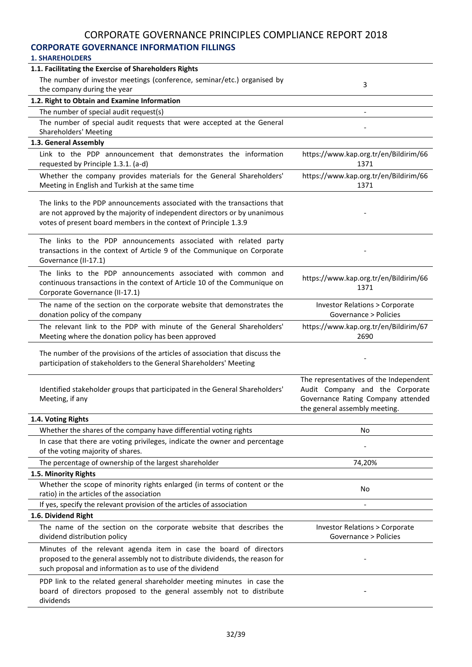## **CORPORATE GOVERNANCE INFORMATION FILLINGS**

| 1.1. Facilitating the Exercise of Shareholders Rights                                                                                                                                                                     |                                                                                                                                                  |
|---------------------------------------------------------------------------------------------------------------------------------------------------------------------------------------------------------------------------|--------------------------------------------------------------------------------------------------------------------------------------------------|
| The number of investor meetings (conference, seminar/etc.) organised by                                                                                                                                                   |                                                                                                                                                  |
| the company during the year                                                                                                                                                                                               | 3                                                                                                                                                |
| 1.2. Right to Obtain and Examine Information                                                                                                                                                                              |                                                                                                                                                  |
| The number of special audit request(s)                                                                                                                                                                                    |                                                                                                                                                  |
| The number of special audit requests that were accepted at the General                                                                                                                                                    |                                                                                                                                                  |
| Shareholders' Meeting                                                                                                                                                                                                     |                                                                                                                                                  |
| 1.3. General Assembly                                                                                                                                                                                                     |                                                                                                                                                  |
| Link to the PDP announcement that demonstrates the information<br>requested by Principle 1.3.1. (a-d)                                                                                                                     | https://www.kap.org.tr/en/Bildirim/66<br>1371                                                                                                    |
| Whether the company provides materials for the General Shareholders'<br>Meeting in English and Turkish at the same time                                                                                                   | https://www.kap.org.tr/en/Bildirim/66<br>1371                                                                                                    |
| The links to the PDP announcements associated with the transactions that<br>are not approved by the majority of independent directors or by unanimous<br>votes of present board members in the context of Principle 1.3.9 |                                                                                                                                                  |
| The links to the PDP announcements associated with related party<br>transactions in the context of Article 9 of the Communique on Corporate<br>Governance (II-17.1)                                                       |                                                                                                                                                  |
| The links to the PDP announcements associated with common and<br>continuous transactions in the context of Article 10 of the Communique on<br>Corporate Governance (II-17.1)                                              | https://www.kap.org.tr/en/Bildirim/66<br>1371                                                                                                    |
| The name of the section on the corporate website that demonstrates the<br>donation policy of the company                                                                                                                  | <b>Investor Relations &gt; Corporate</b><br>Governance > Policies                                                                                |
| The relevant link to the PDP with minute of the General Shareholders'<br>Meeting where the donation policy has been approved                                                                                              | https://www.kap.org.tr/en/Bildirim/67<br>2690                                                                                                    |
| The number of the provisions of the articles of association that discuss the<br>participation of stakeholders to the General Shareholders' Meeting                                                                        |                                                                                                                                                  |
| Identified stakeholder groups that participated in the General Shareholders'<br>Meeting, if any                                                                                                                           | The representatives of the Independent<br>Audit Company and the Corporate<br>Governance Rating Company attended<br>the general assembly meeting. |
| 1.4. Voting Rights                                                                                                                                                                                                        |                                                                                                                                                  |
| Whether the shares of the company have differential voting rights                                                                                                                                                         | No                                                                                                                                               |
| In case that there are voting privileges, indicate the owner and percentage<br>of the voting majority of shares.                                                                                                          |                                                                                                                                                  |
| The percentage of ownership of the largest shareholder                                                                                                                                                                    | 74,20%                                                                                                                                           |
| 1.5. Minority Rights                                                                                                                                                                                                      |                                                                                                                                                  |
| Whether the scope of minority rights enlarged (in terms of content or the<br>ratio) in the articles of the association                                                                                                    | No                                                                                                                                               |
| If yes, specify the relevant provision of the articles of association                                                                                                                                                     | $\overline{\phantom{a}}$                                                                                                                         |
| 1.6. Dividend Right                                                                                                                                                                                                       |                                                                                                                                                  |
| The name of the section on the corporate website that describes the<br>dividend distribution policy                                                                                                                       | <b>Investor Relations &gt; Corporate</b><br>Governance > Policies                                                                                |
| Minutes of the relevant agenda item in case the board of directors<br>proposed to the general assembly not to distribute dividends, the reason for<br>such proposal and information as to use of the dividend             |                                                                                                                                                  |
| PDP link to the related general shareholder meeting minutes in case the<br>board of directors proposed to the general assembly not to distribute<br>dividends                                                             |                                                                                                                                                  |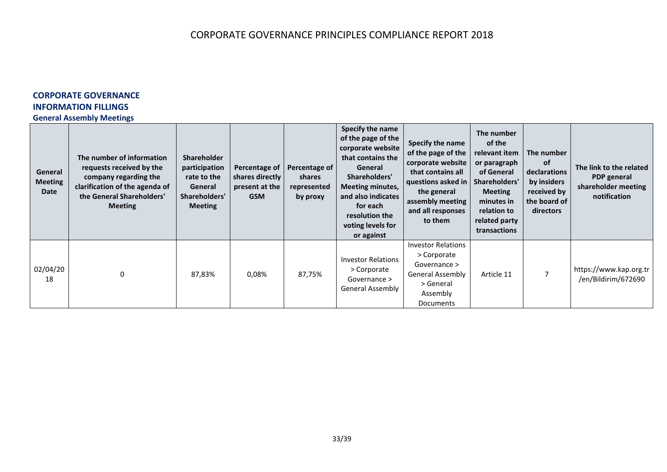## **CORPORATE GOVERNANCE INFORMATION FILLINGS**

#### **General Assembly Meetings**

| General<br><b>Meeting</b><br><b>Date</b> | The number of information<br>requests received by the<br>company regarding the<br>clarification of the agenda of<br>the General Shareholders'<br><b>Meeting</b> | <b>Shareholder</b><br>participation<br>rate to the<br>General<br>Shareholders'<br><b>Meeting</b> | Percentage of<br>shares directly<br>present at the<br><b>GSM</b> | Percentage of<br>shares<br>represented<br>by proxy | Specify the name<br>of the page of the<br>corporate website<br>that contains the<br>General<br>Shareholders'<br><b>Meeting minutes,</b><br>and also indicates<br>for each<br>resolution the<br>voting levels for<br>or against | Specify the name<br>of the page of the<br>corporate website<br>that contains all<br>questions asked in $ $<br>the general<br>assembly meeting<br>and all responses<br>to them | The number<br>of the<br>relevant item<br>or paragraph<br>of General<br>Shareholders'<br><b>Meeting</b><br>minutes in<br>relation to<br>related party<br>transactions | The number<br>of<br>declarations<br>by insiders<br>received by<br>the board of<br>directors | The link to the related<br>PDP general<br>shareholder meeting<br>notification |
|------------------------------------------|-----------------------------------------------------------------------------------------------------------------------------------------------------------------|--------------------------------------------------------------------------------------------------|------------------------------------------------------------------|----------------------------------------------------|--------------------------------------------------------------------------------------------------------------------------------------------------------------------------------------------------------------------------------|-------------------------------------------------------------------------------------------------------------------------------------------------------------------------------|----------------------------------------------------------------------------------------------------------------------------------------------------------------------|---------------------------------------------------------------------------------------------|-------------------------------------------------------------------------------|
| 02/04/20<br>18                           | $\Omega$                                                                                                                                                        | 87,83%                                                                                           | 0,08%                                                            | 87,75%                                             | <b>Investor Relations</b><br>> Corporate<br>Governance ><br>General Assembly                                                                                                                                                   | <b>Investor Relations</b><br>> Corporate<br>Governance ><br><b>General Assembly</b><br>> General<br>Assembly<br>Documents                                                     | Article 11                                                                                                                                                           |                                                                                             | https://www.kap.org.tr<br>/en/Bildirim/672690                                 |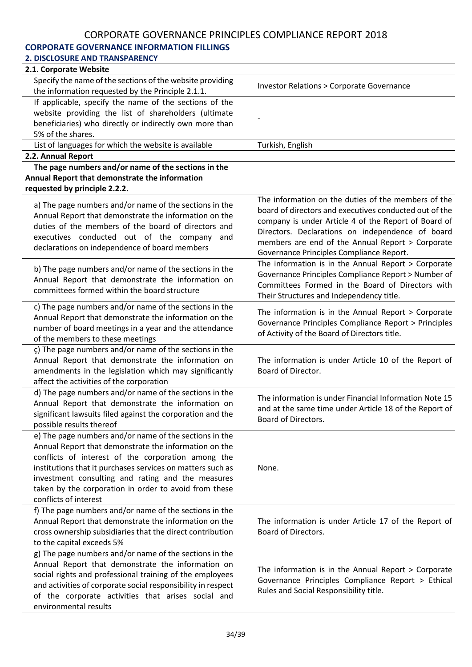## **CORPORATE GOVERNANCE INFORMATION FILLINGS**

| <b>2. DISCLOSURE AND TRANSPARENCY</b>                                                                                                                                                                                                                                                                                                                                      |                                                                                                                                                                                                                                                                                                                           |
|----------------------------------------------------------------------------------------------------------------------------------------------------------------------------------------------------------------------------------------------------------------------------------------------------------------------------------------------------------------------------|---------------------------------------------------------------------------------------------------------------------------------------------------------------------------------------------------------------------------------------------------------------------------------------------------------------------------|
| 2.1. Corporate Website                                                                                                                                                                                                                                                                                                                                                     |                                                                                                                                                                                                                                                                                                                           |
| Specify the name of the sections of the website providing<br>the information requested by the Principle 2.1.1.                                                                                                                                                                                                                                                             | <b>Investor Relations &gt; Corporate Governance</b>                                                                                                                                                                                                                                                                       |
| If applicable, specify the name of the sections of the                                                                                                                                                                                                                                                                                                                     |                                                                                                                                                                                                                                                                                                                           |
| website providing the list of shareholders (ultimate                                                                                                                                                                                                                                                                                                                       |                                                                                                                                                                                                                                                                                                                           |
| beneficiaries) who directly or indirectly own more than                                                                                                                                                                                                                                                                                                                    |                                                                                                                                                                                                                                                                                                                           |
| 5% of the shares.                                                                                                                                                                                                                                                                                                                                                          |                                                                                                                                                                                                                                                                                                                           |
| List of languages for which the website is available                                                                                                                                                                                                                                                                                                                       | Turkish, English                                                                                                                                                                                                                                                                                                          |
| 2.2. Annual Report                                                                                                                                                                                                                                                                                                                                                         |                                                                                                                                                                                                                                                                                                                           |
| The page numbers and/or name of the sections in the                                                                                                                                                                                                                                                                                                                        |                                                                                                                                                                                                                                                                                                                           |
| Annual Report that demonstrate the information<br>requested by principle 2.2.2.                                                                                                                                                                                                                                                                                            |                                                                                                                                                                                                                                                                                                                           |
| a) The page numbers and/or name of the sections in the<br>Annual Report that demonstrate the information on the<br>duties of the members of the board of directors and<br>executives conducted out of the company<br>and<br>declarations on independence of board members                                                                                                  | The information on the duties of the members of the<br>board of directors and executives conducted out of the<br>company is under Article 4 of the Report of Board of<br>Directors. Declarations on independence of board<br>members are end of the Annual Report > Corporate<br>Governance Principles Compliance Report. |
| b) The page numbers and/or name of the sections in the<br>Annual Report that demonstrate the information on<br>committees formed within the board structure                                                                                                                                                                                                                | The information is in the Annual Report > Corporate<br>Governance Principles Compliance Report > Number of<br>Committees Formed in the Board of Directors with<br>Their Structures and Independency title.                                                                                                                |
| c) The page numbers and/or name of the sections in the<br>Annual Report that demonstrate the information on the<br>number of board meetings in a year and the attendance<br>of the members to these meetings                                                                                                                                                               | The information is in the Annual Report $>$ Corporate<br>Governance Principles Compliance Report > Principles<br>of Activity of the Board of Directors title.                                                                                                                                                             |
| ç) The page numbers and/or name of the sections in the<br>Annual Report that demonstrate the information on<br>amendments in the legislation which may significantly<br>affect the activities of the corporation                                                                                                                                                           | The information is under Article 10 of the Report of<br>Board of Director.                                                                                                                                                                                                                                                |
| d) The page numbers and/or name of the sections in the<br>Annual Report that demonstrate the information on<br>significant lawsuits filed against the corporation and the<br>possible results thereof                                                                                                                                                                      | The information is under Financial Information Note 15<br>and at the same time under Article 18 of the Report of<br>Board of Directors.                                                                                                                                                                                   |
| e) The page numbers and/or name of the sections in the<br>Annual Report that demonstrate the information on the<br>conflicts of interest of the corporation among the<br>institutions that it purchases services on matters such as<br>investment consulting and rating and the measures<br>taken by the corporation in order to avoid from these<br>conflicts of interest | None.                                                                                                                                                                                                                                                                                                                     |
| f) The page numbers and/or name of the sections in the<br>Annual Report that demonstrate the information on the<br>cross ownership subsidiaries that the direct contribution<br>to the capital exceeds 5%                                                                                                                                                                  | The information is under Article 17 of the Report of<br>Board of Directors.                                                                                                                                                                                                                                               |
| g) The page numbers and/or name of the sections in the<br>Annual Report that demonstrate the information on<br>social rights and professional training of the employees<br>and activities of corporate social responsibility in respect<br>of the corporate activities that arises social and<br>environmental results                                                     | The information is in the Annual Report > Corporate<br>Governance Principles Compliance Report > Ethical<br>Rules and Social Responsibility title.                                                                                                                                                                        |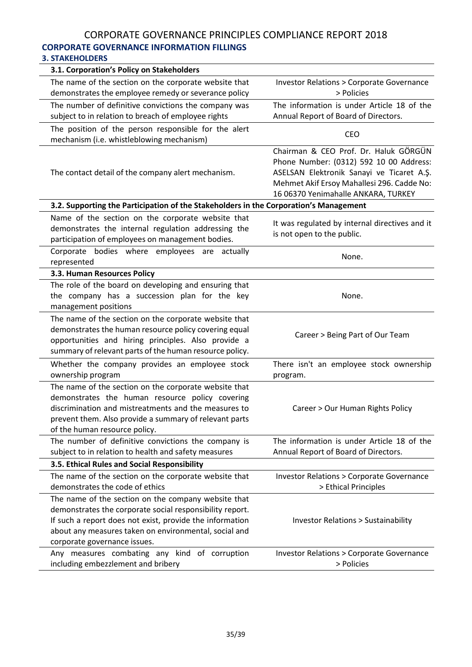## CORPORATE GOVERNANCE PRINCIPLES COMPLIANCE REPORT 2018 **CORPORATE GOVERNANCE INFORMATION FILLINGS**

#### **3. STAKEHOLDERS**

| 3.1. Corporation's Policy on Stakeholders                                                                                                                                                                                                                            |                                                                                                                                                                                                                    |
|----------------------------------------------------------------------------------------------------------------------------------------------------------------------------------------------------------------------------------------------------------------------|--------------------------------------------------------------------------------------------------------------------------------------------------------------------------------------------------------------------|
| The name of the section on the corporate website that<br>demonstrates the employee remedy or severance policy                                                                                                                                                        | <b>Investor Relations &gt; Corporate Governance</b><br>> Policies                                                                                                                                                  |
| The number of definitive convictions the company was<br>subject to in relation to breach of employee rights                                                                                                                                                          | The information is under Article 18 of the<br>Annual Report of Board of Directors.                                                                                                                                 |
| The position of the person responsible for the alert<br>mechanism (i.e. whistleblowing mechanism)                                                                                                                                                                    | <b>CEO</b>                                                                                                                                                                                                         |
| The contact detail of the company alert mechanism.                                                                                                                                                                                                                   | Chairman & CEO Prof. Dr. Haluk GÖRGÜN<br>Phone Number: (0312) 592 10 00 Address:<br>ASELSAN Elektronik Sanayi ve Ticaret A.Ş.<br>Mehmet Akif Ersoy Mahallesi 296. Cadde No:<br>16 06370 Yenimahalle ANKARA, TURKEY |
| 3.2. Supporting the Participation of the Stakeholders in the Corporation's Management                                                                                                                                                                                |                                                                                                                                                                                                                    |
| Name of the section on the corporate website that<br>demonstrates the internal regulation addressing the<br>participation of employees on management bodies.                                                                                                         | It was regulated by internal directives and it<br>is not open to the public.                                                                                                                                       |
| Corporate bodies where employees are actually<br>represented                                                                                                                                                                                                         | None.                                                                                                                                                                                                              |
| 3.3. Human Resources Policy                                                                                                                                                                                                                                          |                                                                                                                                                                                                                    |
| The role of the board on developing and ensuring that<br>the company has a succession plan for the key<br>management positions                                                                                                                                       | None.                                                                                                                                                                                                              |
| The name of the section on the corporate website that<br>demonstrates the human resource policy covering equal<br>opportunities and hiring principles. Also provide a<br>summary of relevant parts of the human resource policy.                                     | Career > Being Part of Our Team                                                                                                                                                                                    |
| Whether the company provides an employee stock<br>ownership program                                                                                                                                                                                                  | There isn't an employee stock ownership<br>program.                                                                                                                                                                |
| The name of the section on the corporate website that<br>demonstrates the human resource policy covering<br>discrimination and mistreatments and the measures to<br>prevent them. Also provide a summary of relevant parts<br>of the human resource policy.          | Career > Our Human Rights Policy                                                                                                                                                                                   |
| The number of definitive convictions the company is<br>subject to in relation to health and safety measures                                                                                                                                                          | The information is under Article 18 of the<br>Annual Report of Board of Directors.                                                                                                                                 |
| 3.5. Ethical Rules and Social Responsibility                                                                                                                                                                                                                         |                                                                                                                                                                                                                    |
| The name of the section on the corporate website that<br>demonstrates the code of ethics                                                                                                                                                                             | <b>Investor Relations &gt; Corporate Governance</b><br>> Ethical Principles                                                                                                                                        |
| The name of the section on the company website that<br>demonstrates the corporate social responsibility report.<br>If such a report does not exist, provide the information<br>about any measures taken on environmental, social and<br>corporate governance issues. | <b>Investor Relations &gt; Sustainability</b>                                                                                                                                                                      |
| Any measures combating any kind of corruption<br>including embezzlement and bribery                                                                                                                                                                                  | <b>Investor Relations &gt; Corporate Governance</b><br>> Policies                                                                                                                                                  |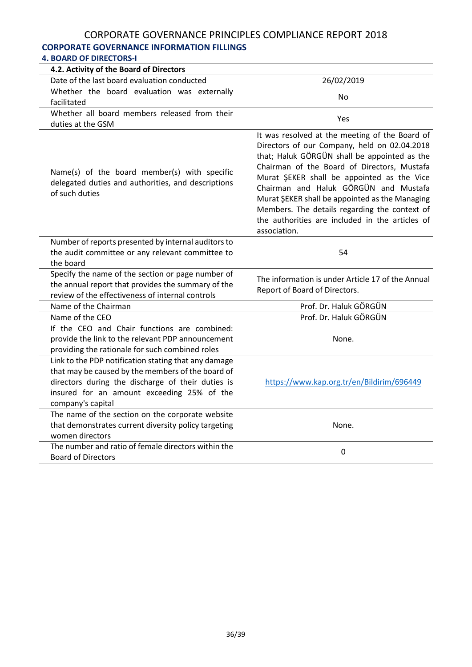#### **CORPORATE GOVERNANCE INFORMATION FILLINGS 4. BOARD OF DIRECTORS-I**

| 4. BUAKU UF DIKELTUKS-I                                                                                                                                                                                                           |                                                                                                                                                                                                                                                                                                                                                                                                                                                            |  |  |  |
|-----------------------------------------------------------------------------------------------------------------------------------------------------------------------------------------------------------------------------------|------------------------------------------------------------------------------------------------------------------------------------------------------------------------------------------------------------------------------------------------------------------------------------------------------------------------------------------------------------------------------------------------------------------------------------------------------------|--|--|--|
| 4.2. Activity of the Board of Directors                                                                                                                                                                                           |                                                                                                                                                                                                                                                                                                                                                                                                                                                            |  |  |  |
| Date of the last board evaluation conducted                                                                                                                                                                                       | 26/02/2019                                                                                                                                                                                                                                                                                                                                                                                                                                                 |  |  |  |
| Whether the board evaluation was externally                                                                                                                                                                                       | No                                                                                                                                                                                                                                                                                                                                                                                                                                                         |  |  |  |
| facilitated                                                                                                                                                                                                                       |                                                                                                                                                                                                                                                                                                                                                                                                                                                            |  |  |  |
| Whether all board members released from their                                                                                                                                                                                     | Yes                                                                                                                                                                                                                                                                                                                                                                                                                                                        |  |  |  |
| duties at the GSM                                                                                                                                                                                                                 |                                                                                                                                                                                                                                                                                                                                                                                                                                                            |  |  |  |
| Name(s) of the board member(s) with specific<br>delegated duties and authorities, and descriptions<br>of such duties                                                                                                              | It was resolved at the meeting of the Board of<br>Directors of our Company, held on 02.04.2018<br>that; Haluk GÖRGÜN shall be appointed as the<br>Chairman of the Board of Directors, Mustafa<br>Murat ŞEKER shall be appointed as the Vice<br>Chairman and Haluk GÖRGÜN and Mustafa<br>Murat ŞEKER shall be appointed as the Managing<br>Members. The details regarding the context of<br>the authorities are included in the articles of<br>association. |  |  |  |
| Number of reports presented by internal auditors to                                                                                                                                                                               |                                                                                                                                                                                                                                                                                                                                                                                                                                                            |  |  |  |
| the audit committee or any relevant committee to                                                                                                                                                                                  | 54                                                                                                                                                                                                                                                                                                                                                                                                                                                         |  |  |  |
| the board                                                                                                                                                                                                                         |                                                                                                                                                                                                                                                                                                                                                                                                                                                            |  |  |  |
| Specify the name of the section or page number of                                                                                                                                                                                 | The information is under Article 17 of the Annual                                                                                                                                                                                                                                                                                                                                                                                                          |  |  |  |
| the annual report that provides the summary of the                                                                                                                                                                                | Report of Board of Directors.                                                                                                                                                                                                                                                                                                                                                                                                                              |  |  |  |
| review of the effectiveness of internal controls                                                                                                                                                                                  |                                                                                                                                                                                                                                                                                                                                                                                                                                                            |  |  |  |
| Name of the Chairman                                                                                                                                                                                                              | Prof. Dr. Haluk GÖRGÜN                                                                                                                                                                                                                                                                                                                                                                                                                                     |  |  |  |
| Name of the CEO                                                                                                                                                                                                                   | Prof. Dr. Haluk GÖRGÜN                                                                                                                                                                                                                                                                                                                                                                                                                                     |  |  |  |
| If the CEO and Chair functions are combined:<br>provide the link to the relevant PDP announcement<br>providing the rationale for such combined roles                                                                              | None.                                                                                                                                                                                                                                                                                                                                                                                                                                                      |  |  |  |
| Link to the PDP notification stating that any damage<br>that may be caused by the members of the board of<br>directors during the discharge of their duties is<br>insured for an amount exceeding 25% of the<br>company's capital | https://www.kap.org.tr/en/Bildirim/696449                                                                                                                                                                                                                                                                                                                                                                                                                  |  |  |  |
| The name of the section on the corporate website<br>that demonstrates current diversity policy targeting<br>women directors                                                                                                       | None.                                                                                                                                                                                                                                                                                                                                                                                                                                                      |  |  |  |
| The number and ratio of female directors within the<br><b>Board of Directors</b>                                                                                                                                                  | 0                                                                                                                                                                                                                                                                                                                                                                                                                                                          |  |  |  |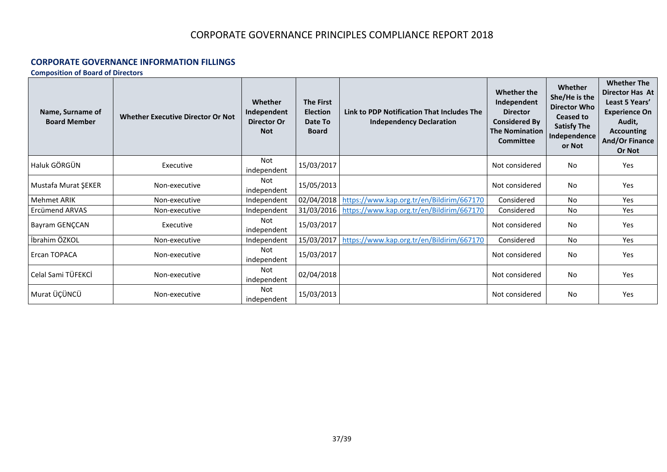#### **CORPORATE GOVERNANCE INFORMATION FILLINGS**

**Composition of Board of Directors**

| Name, Surname of<br><b>Board Member</b> | <b>Whether Executive Director Or Not</b> | Whether<br>Independent<br><b>Director Or</b><br><b>Not</b> | <b>The First</b><br><b>Election</b><br>Date To<br><b>Board</b> | Link to PDP Notification That Includes The<br><b>Independency Declaration</b> | Whether the<br>Independent<br><b>Director</b><br><b>Considered By</b><br><b>The Nomination</b><br><b>Committee</b> | Whether<br>She/He is the<br><b>Director Who</b><br>Ceased to<br><b>Satisfy The</b><br>Independence<br>or Not | <b>Whether The</b><br><b>Director Has At</b><br>Least 5 Years'<br><b>Experience On</b><br>Audit,<br><b>Accounting</b><br><b>And/Or Finance</b><br><b>Or Not</b> |
|-----------------------------------------|------------------------------------------|------------------------------------------------------------|----------------------------------------------------------------|-------------------------------------------------------------------------------|--------------------------------------------------------------------------------------------------------------------|--------------------------------------------------------------------------------------------------------------|-----------------------------------------------------------------------------------------------------------------------------------------------------------------|
| Haluk GÖRGÜN                            | Executive                                | <b>Not</b><br>independent                                  | 15/03/2017                                                     |                                                                               | Not considered                                                                                                     | No                                                                                                           | Yes                                                                                                                                                             |
| Mustafa Murat ŞEKER                     | Non-executive                            | Not<br>independent                                         | 15/05/2013                                                     |                                                                               | Not considered                                                                                                     | N <sub>0</sub>                                                                                               | Yes                                                                                                                                                             |
| Mehmet ARIK                             | Non-executive                            | Independent                                                | 02/04/2018                                                     | https://www.kap.org.tr/en/Bildirim/667170                                     | Considered                                                                                                         | No                                                                                                           | Yes                                                                                                                                                             |
| Ercümend ARVAS                          | Non-executive                            | Independent                                                | 31/03/2016                                                     | https://www.kap.org.tr/en/Bildirim/667170                                     | Considered                                                                                                         | No                                                                                                           | Yes                                                                                                                                                             |
| <b>Bayram GENCCAN</b>                   | Executive                                | Not<br>independent                                         | 15/03/2017                                                     |                                                                               | Not considered                                                                                                     | No                                                                                                           | Yes                                                                                                                                                             |
| İbrahim ÖZKOL                           | Non-executive                            | Independent                                                | 15/03/2017                                                     | https://www.kap.org.tr/en/Bildirim/667170                                     | Considered                                                                                                         | No                                                                                                           | Yes                                                                                                                                                             |
| <b>Ercan TOPACA</b>                     | Non-executive                            | Not<br>independent                                         | 15/03/2017                                                     |                                                                               | Not considered                                                                                                     | No                                                                                                           | Yes                                                                                                                                                             |
| Celal Sami TÜFEKCİ                      | Non-executive                            | <b>Not</b><br>independent                                  | 02/04/2018                                                     |                                                                               | Not considered                                                                                                     | No                                                                                                           | Yes                                                                                                                                                             |
| Murat ÜÇÜNCÜ                            | Non-executive                            | Not<br>independent                                         | 15/03/2013                                                     |                                                                               | Not considered                                                                                                     | No                                                                                                           | Yes                                                                                                                                                             |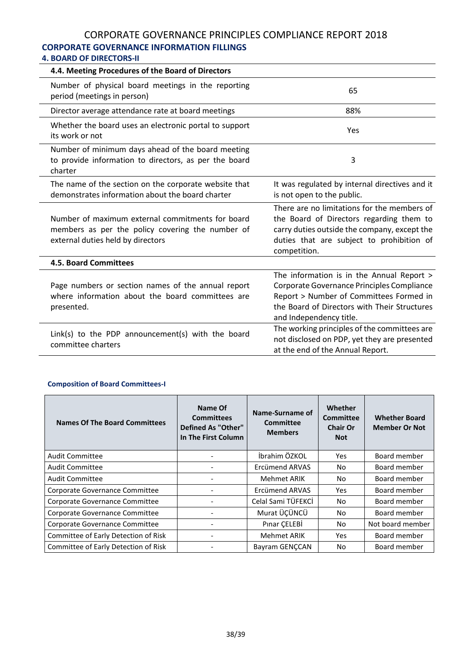# **CORPORATE GOVERNANCE INFORMATION FILLINGS**

## **4. BOARD OF DIRECTORS-II**

| 4.4. Meeting Procedures of the Board of Directors                                                                                         |                                                                                                                                                                                                               |
|-------------------------------------------------------------------------------------------------------------------------------------------|---------------------------------------------------------------------------------------------------------------------------------------------------------------------------------------------------------------|
| Number of physical board meetings in the reporting<br>period (meetings in person)                                                         | 65                                                                                                                                                                                                            |
| Director average attendance rate at board meetings                                                                                        | 88%                                                                                                                                                                                                           |
| Whether the board uses an electronic portal to support<br>its work or not                                                                 | Yes                                                                                                                                                                                                           |
| Number of minimum days ahead of the board meeting<br>to provide information to directors, as per the board<br>charter                     | 3                                                                                                                                                                                                             |
| The name of the section on the corporate website that<br>demonstrates information about the board charter                                 | It was regulated by internal directives and it<br>is not open to the public.                                                                                                                                  |
| Number of maximum external commitments for board<br>members as per the policy covering the number of<br>external duties held by directors | There are no limitations for the members of<br>the Board of Directors regarding them to<br>carry duties outside the company, except the<br>duties that are subject to prohibition of<br>competition.          |
| <b>4.5. Board Committees</b>                                                                                                              |                                                                                                                                                                                                               |
| Page numbers or section names of the annual report<br>where information about the board committees are<br>presented.                      | The information is in the Annual Report ><br>Corporate Governance Principles Compliance<br>Report > Number of Committees Formed in<br>the Board of Directors with Their Structures<br>and Independency title. |
| Link(s) to the PDP announcement(s) with the board<br>committee charters                                                                   | The working principles of the committees are<br>not disclosed on PDP, yet they are presented<br>at the end of the Annual Report.                                                                              |

#### **Composition of Board Committees-I**

| <b>Names Of The Board Committees</b> | Name Of<br><b>Committees</b><br><b>Defined As "Other"</b><br>In The First Column | Name-Surname of<br>Committee<br><b>Members</b> | Whether<br>Committee<br><b>Chair Or</b><br><b>Not</b> | <b>Whether Board</b><br><b>Member Or Not</b> |
|--------------------------------------|----------------------------------------------------------------------------------|------------------------------------------------|-------------------------------------------------------|----------------------------------------------|
| Audit Committee                      |                                                                                  | İbrahim ÖZKOL                                  | <b>Yes</b>                                            | Board member                                 |
| Audit Committee                      |                                                                                  | Ercümend ARVAS                                 | No                                                    | Board member                                 |
| <b>Audit Committee</b>               |                                                                                  | Mehmet ARIK                                    | No.                                                   | Board member                                 |
| Corporate Governance Committee       |                                                                                  | Ercümend ARVAS                                 | <b>Yes</b>                                            | Board member                                 |
| Corporate Governance Committee       |                                                                                  | Celal Sami TÜFEKCİ                             | No.                                                   | Board member                                 |
| Corporate Governance Committee       |                                                                                  | Murat ÜÇÜNCÜ                                   | No                                                    | Board member                                 |
| Corporate Governance Committee       |                                                                                  | Pinar CELEBİ                                   | No                                                    | Not board member                             |
| Committee of Early Detection of Risk |                                                                                  | <b>Mehmet ARIK</b>                             | Yes.                                                  | Board member                                 |
| Committee of Early Detection of Risk |                                                                                  | Bayram GENCCAN                                 | No.                                                   | Board member                                 |